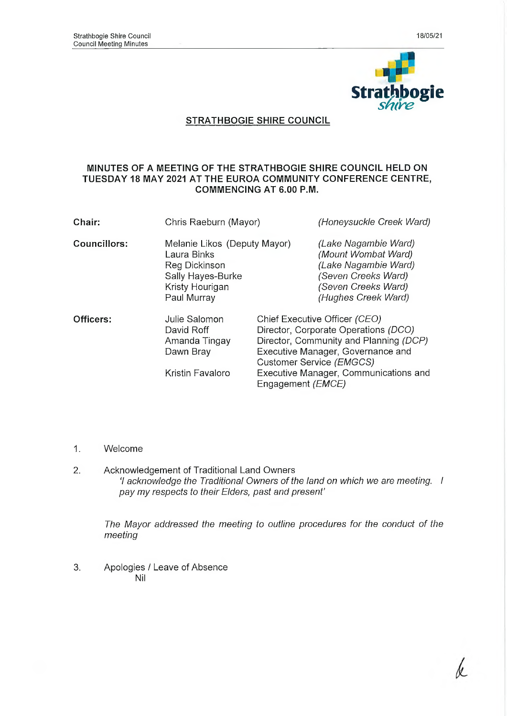

## **STRATHBOGIE SHIRE COUNCIL**

#### **MINUTES OF A MEETING OF THE STRATHBOGIE SHIRE COUNCIL HELD ON TUESDAY 18 MAY 2021 AT THE EUROA COMMUNITY CONFERENCE CENTRE, COMMENCING AT 6.00 P.M.**

| Chair:       | Chris Raeburn (Mayor)                                                                                               | (Honeysuckle Creek Ward)                                                                                                                                                                                                                                |  |
|--------------|---------------------------------------------------------------------------------------------------------------------|---------------------------------------------------------------------------------------------------------------------------------------------------------------------------------------------------------------------------------------------------------|--|
| Councillors: | Melanie Likos (Deputy Mayor)<br>Laura Binks<br>Reg Dickinson<br>Sally Hayes-Burke<br>Kristy Hourigan<br>Paul Murray | (Lake Nagambie Ward)<br>(Mount Wombat Ward)<br>(Lake Nagambie Ward)<br>(Seven Creeks Ward)<br>(Seven Creeks Ward)<br>(Hughes Creek Ward)                                                                                                                |  |
| Officers:    | Julie Salomon<br>David Roff<br>Amanda Tingay<br>Dawn Bray<br>Kristin Favaloro                                       | Chief Executive Officer (CEO)<br>Director, Corporate Operations (DCO)<br>Director, Community and Planning (DCP)<br>Executive Manager, Governance and<br>Customer Service (EMGCS)<br>Executive Manager, Communications and<br>Engagement ( <i>EMCE</i> ) |  |

- 1. Welcome
- 2. Acknowledgement of Traditional Land Owners *'I acknowledge the Traditional Owners of the land on which we are meeting. I pay my respects to their Elders, past and present'*

*The Mayor addressed the meeting to outline procedures for the conduct of the meeting*

3. Apologies / Leave of Absence Nil

k.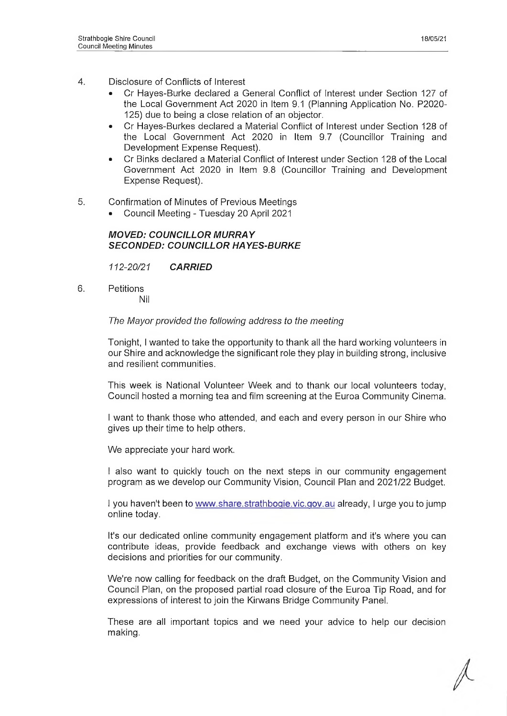- 4. Disclosure of Conflicts of Interest
	- Cr Hayes-Burke declared a General Conflict of Interest under Section 127 of the Local Government Act 2020 in Item 9.1 (Planning Application No. P2020- 125) due to being a close relation of an objector.
	- Cr Hayes-Burkes declared a Material Conflict of Interest under Section 128 of the Local Government Act 2020 in Item 9.7 (Councillor Training and Development Expense Request).
	- Cr Binks declared a Material Conflict of Interest under Section 128 of the Local Government Act 2020 in Item 9.8 (Councillor Training and Development Expense Request).
- 5. Confirmation of Minutes of Previous Meetings
	- Council Meeting Tuesday 20 April 2021

#### *MOVED: COUNCILLOR MURRAY SECONDED: COUNCILLOR HAYES-BURKE*

*112-20/21 CARRIED*

6. Petitions Nil

## *The Mayor provided the following address to the meeting*

Tonight, I wanted to take the opportunity to thank all the hard working volunteers in our Shire and acknowledge the significant role they play in building strong, inclusive and resilient communities.

This week is National Volunteer Week and to thank our local volunteers today, Council hosted a morning tea and film screening at the Euroa Community Cinema.

I want to thank those who attended, and each and every person in our Shire who gives up their time to help others.

We appreciate your hard work.

I also want to quickly touch on the next steps in our community engagement program as we develop our Community Vision, Council Plan and 2021/22 Budget.

I you haven't been to [www.share.strathboqie.vic.qov.au](http://www.share.strathboqie.vic.qov.au) already, I urge you to jump online today.

It's our dedicated online community engagement platform and it's where you can contribute ideas, provide feedback and exchange views with others on key decisions and priorities for our community.

We're now calling for feedback on the draft Budget, on the Community Vision and Council Plan, on the proposed partial road closure of the Euroa Tip Road, and for expressions of interest to join the Kirwans Bridge Community Panel.

These are all important topics and we need your advice to help our decision making.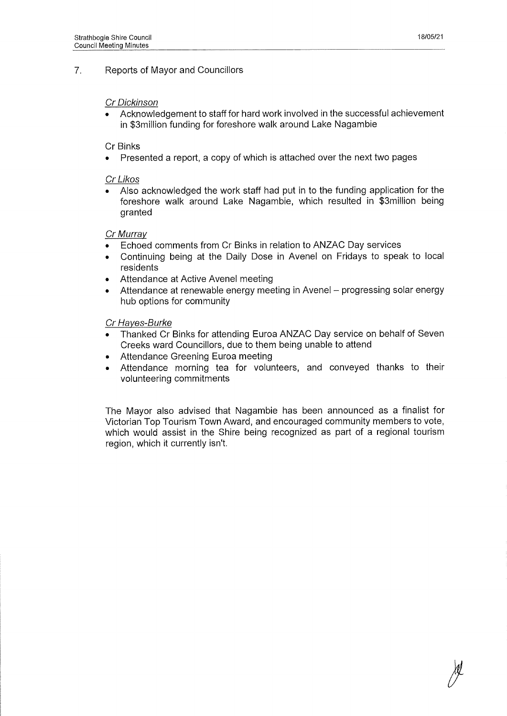#### 7. Reports of Mayor and Councillors

#### *Cr Dickinson*

• Acknowledgement to staff for hard work involved in the successful achievement in \$3million funding for foreshore walk around Lake Nagambie

#### Cr Binks

• Presented a report, a copy of which is attached over the next two pages

#### *Cr Likos*

• Also acknowledged the work staff had put in to the funding application for the foreshore walk around Lake Nagambie, which resulted in \$3million being granted

#### *Cr Murray*

- Echoed comments from Cr Binks in relation to ANZAC Day services
- Continuing being at the Daily Dose in Avenel on Fridays to speak to local residents
- Attendance at Active Avenel meeting
- Attendance at renewable energy meeting in Avenel progressing solar energy hub options for community

#### *Cr Haves-Burke*

- Thanked Cr Binks for attending Euroa ANZAC Day service on behalf of Seven Creeks ward Councillors, due to them being unable to attend
- Attendance Greening Euroa meeting
- Attendance morning tea for volunteers, and conveyed thanks to their volunteering commitments

The Mayor also advised that Nagambie has been announced as a finalist for Victorian Top Tourism Town Award, and encouraged community members to vote, which would assist in the Shire being recognized as part of a regional tourism region, which it currently isn't.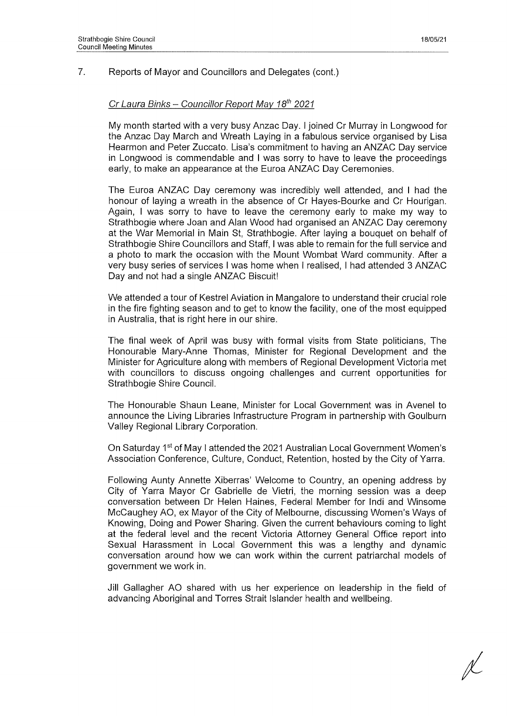#### 7. Reports of Mayor and Councillors and Delegates (cont.)

#### *Cr Laura Binks - Councillor Report May 18th 2021*

My month started with a very busy Anzac Day. I joined Cr Murray in Longwood for the Anzac Day March and Wreath Laying in a fabulous service organised by Lisa Hearmon and Peter Zuccato. Lisa's commitment to having an ANZAC Day service in Longwood is commendable and I was sorry to have to leave the proceedings early, to make an appearance at the Euroa ANZAC Day Ceremonies.

The Euroa ANZAC Day ceremony was incredibly well attended, and I had the honour of laying a wreath in the absence of Cr Hayes-Bourke and Cr Hourigan. Again, I was sorry to have to leave the ceremony early to make my way to Strathbogie where Joan and Alan Wood had organised an ANZAC Day ceremony at the War Memorial in Main St, Strathbogie. After laying a bouquet on behalf of Strathbogie Shire Councillors and Staff, I was able to remain for the full service and a photo to mark the occasion with the Mount Wombat Ward community. After a very busy series of services I was home when I realised, I had attended 3 ANZAC Day and not had a single ANZAC Biscuit!

We attended a tour of Kestrel Aviation in Mangalore to understand their crucial role in the fire fighting season and to get to know the facility, one of the most equipped in Australia, that is right here in our shire.

The final week of April was busy with formal visits from State politicians, The Honourable Mary-Anne Thomas, Minister for Regional Development and the Minister for Agriculture along with members of Regional Development Victoria met with councillors to discuss ongoing challenges and current opportunities for Strathbogie Shire Council.

The Honourable Shaun Leane, Minister for Local Government was in Avenel to announce the Living Libraries Infrastructure Program in partnership with Goulburn Valley Regional Library Corporation.

On Saturday 1st of May I attended the 2021 Australian Local Government Women's Association Conference, Culture, Conduct, Retention, hosted by the City of Yarra.

Following Aunty Annette Xiberras' Welcome to Country, an opening address by City of Yarra Mayor Cr Gabrielle de Vietri, the morning session was a deep conversation between Dr Helen Haines, Federal Member for Indi and Winsome McCaughey AO, ex Mayor of the City of Melbourne, discussing Women's Ways of Knowing, Doing and Power Sharing. Given the current behaviours coming to light at the federal level and the recent Victoria Attorney General Office report into Sexual Harassment in Local Government this was a lengthy and dynamic conversation around how we can work within the current patriarchal models of government we work in.

Jill Gallagher AO shared with us her experience on leadership in the field of advancing Aboriginal and Torres Strait Islander health and wellbeing.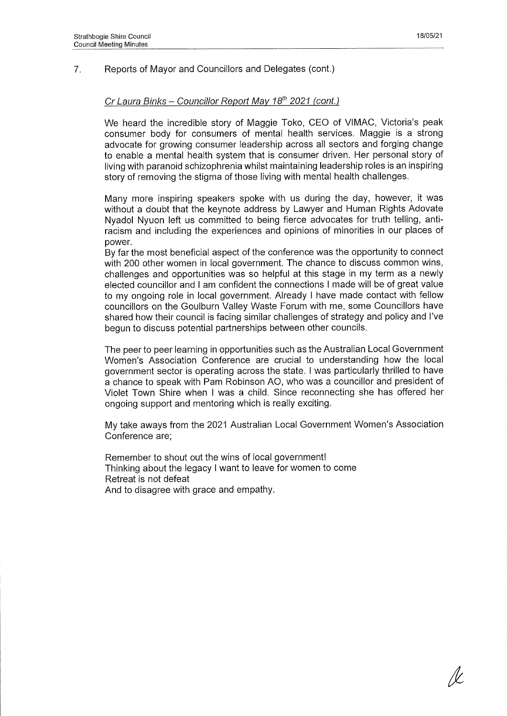#### 7. Reports of Mayor and Councillors and Delegates (cont.)

## *Cr Laura Binks - Councillor Report May 18th 2021 (cont.)*

We heard the incredible story of Maggie Toko, CEO of VIMAC, Victoria's peak consumer body for consumers of mental health services. Maggie is a strong advocate for growing consumer leadership across all sectors and forging change to enable a mental health system that is consumer driven. Her personal story of living with paranoid schizophrenia whilst maintaining leadership roles is an inspiring story of removing the stigma of those living with mental health challenges.

Many more inspiring speakers spoke with us during the day, however, it was without a doubt that the keynote address by Lawyer and Human Rights Adovate Nyadol Nyuon left us committed to being fierce advocates for truth telling, antiracism and including the experiences and opinions of minorities in our places of power.

By far the most beneficial aspect of the conference was the opportunity to connect with 200 other women in local government. The chance to discuss common wins, challenges and opportunities was so helpful at this stage in my term as a newly elected councillor and I am confident the connections I made will be of great value to my ongoing role in local government. Already I have made contact with fellow councillors on the Goulburn Valley Waste Forum with me, some Councillors have shared how their council is facing similar challenges of strategy and policy and I've begun to discuss potential partnerships between other councils.

The peer to peer learning in opportunities such as the Australian Local Government Women's Association Conference are crucial to understanding how the local government sector is operating across the state. I was particularly thrilled to have a chance to speak with Pam Robinson AO, who was a councillor and president of Violet Town Shire when I was a child. Since reconnecting she has offered her ongoing support and mentoring which is really exciting.

My take aways from the 2021 Australian Local Government Women's Association Conference are;

Remember to shout out the wins of local government! Thinking about the legacy I want to leave for women to come Retreat is not defeat And to disagree with grace and empathy.

/V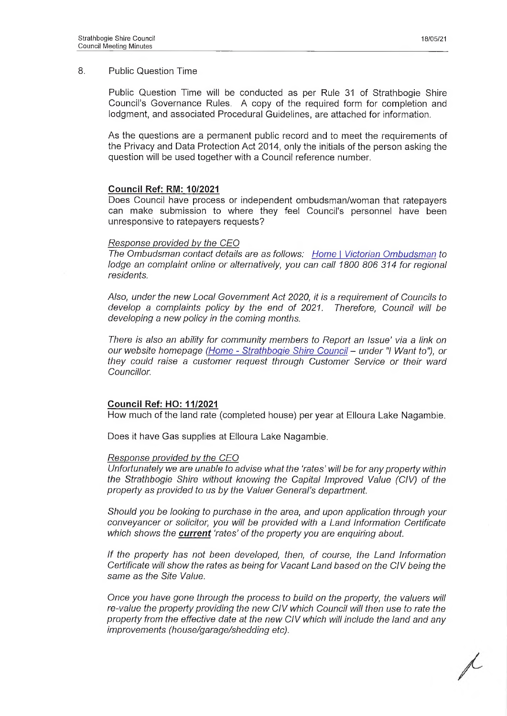Public Question Time will be conducted as per Rule 31 of Strathbogie Shire Council's Governance Rules. A copy of the required form for completion and lodgment, and associated Procedural Guidelines, are attached for information.

As the questions are a permanent public record and to meet the requirements of the Privacy and Data Protection Act 2014, only the initials of the person asking the question will be used together with a Council reference number.

### **Council Ref: RM: 10/2021**

Does Council have process or independent ombudsman/woman that ratepayers can make submission to where they feel Council's personnel have been unresponsive to ratepayers requests?

#### *Response provided by the CEO*

*The Ombudsman contact details are as follows: Home* I *Victorian Ombudsman to lodge an complaint online or alternatively, you can call 1800 806 314 for regional residents.*

*Also, under the new Local Government Act 2020, it is a requirement of Councils to develop a complaints policy by the end of 2021. Therefore, Council will be developing a new policy in the coming months.*

*There is also an ability for community members to Report an Issue' via a link on our website homepage (Home* - *Strathbogie Shire Council - under "I Want to"), or they could raise a customer request through Customer Service or their ward Councillor.*

### **Council Ref: HO: 11/2021**

How much of the land rate (completed house) per year at Elloura Lake Nagambie.

Does it have Gas supplies at Elloura Lake Nagambie.

#### *Response provided by the CEO*

*Unfortunately we are unable to advise what the 'rates' will be for any property within the Strathbogie Shire without knowing the Capital Improved Value (CIV) of the property as provided to us by the Valuer General's department.*

*Should you be looking to purchase in the area, and upon application through your conveyancer or solicitor, you will be provided with a Land Information Certificate which shows the current 'rates' of the property you are enquiring about.*

*If the property has not been developed, then, of course, the Land Information Certificate will show the rates as being for Vacant Land based on the CIV being the same as the Site Value.*

*Once you have gone through the process to build on the property, the valuers will re-value the property providing the new CIV which Council will then use to rate the property from the effective date at the new CIV which will include the land and any improvements (house/garage/shedding etc).*

R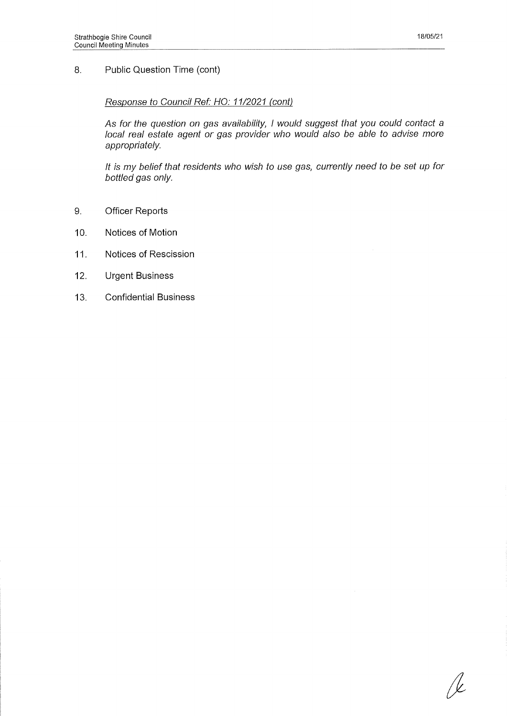/k

#### 8. Public Question Time (cont)

#### *Response to Council Ref: HO: 11/2021 (cont)*

As *for the question on gas availability, I would suggest that you could contact a local real estate agent or gas provider who would also be able to advise more appropriately.*

*It is my belief that residents who wish to use gas, currently need to be set up for bottled gas only.*

- 9. Officer Reports
- 10. Notices of Motion
- 11. Notices of Rescission
- 12. Urgent Business
- 13. Confidential Business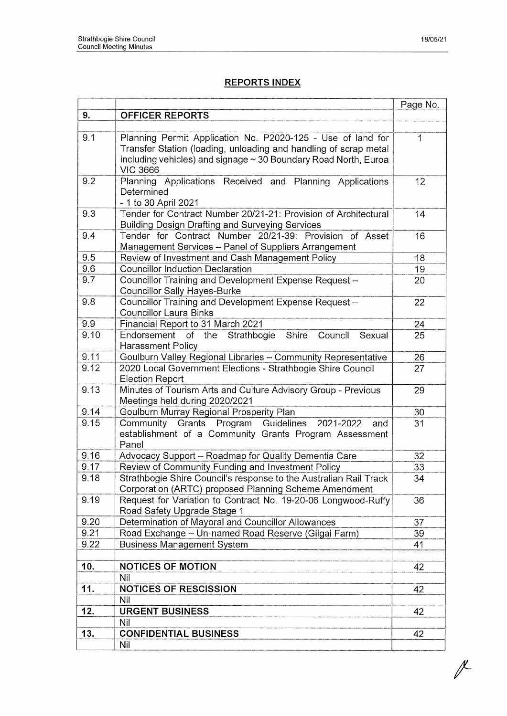# **REPORTS INDEX**

|      |                                                                                                                                                                                                    | Page No. |
|------|----------------------------------------------------------------------------------------------------------------------------------------------------------------------------------------------------|----------|
| 9.   | <b>OFFICER REPORTS</b>                                                                                                                                                                             |          |
|      |                                                                                                                                                                                                    |          |
| 9.1  | Planning Permit Application No. P2020-125 - Use of land for<br>Transfer Station (loading, unloading and handling of scrap metal<br>including vehicles) and signage ~ 30 Boundary Road North, Euroa | 1        |
|      | <b>VIC 3666</b>                                                                                                                                                                                    |          |
| 9.2  | Planning Applications Received and Planning<br>Applications<br>Determined<br>- 1 to 30 April 2021                                                                                                  | 12       |
| 9.3  | Tender for Contract Number 20/21-21: Provision of Architectural<br><b>Building Design Drafting and Surveying Services</b>                                                                          | 14       |
| 9.4  | Tender for Contract Number 20/21-39: Provision of Asset<br>Management Services - Panel of Suppliers Arrangement                                                                                    | 16       |
| 9.5  | Review of Investment and Cash Management Policy                                                                                                                                                    | 18       |
| 9.6  | <b>Councillor Induction Declaration</b>                                                                                                                                                            | 19       |
| 9.7  | Councillor Training and Development Expense Request -<br><b>Councillor Sally Hayes-Burke</b>                                                                                                       | 20       |
| 9.8  | Councillor Training and Development Expense Request -<br><b>Councillor Laura Binks</b>                                                                                                             | 22       |
| 9.9  | Financial Report to 31 March 2021                                                                                                                                                                  | 24       |
| 9.10 | Endorsement of the<br>Strathbogie Shire<br>Council<br>Sexual<br>Harassment Policy                                                                                                                  | 25       |
| 9.11 | Goulburn Valley Regional Libraries - Community Representative                                                                                                                                      | 26       |
| 9.12 | 2020 Local Government Elections - Strathbogie Shire Council<br><b>Election Report</b>                                                                                                              | 27       |
| 9.13 | Minutes of Tourism Arts and Culture Advisory Group - Previous<br>Meetings held during 2020/2021                                                                                                    | 29       |
| 9.14 | Goulburn Murray Regional Prosperity Plan                                                                                                                                                           | 30       |
| 9.15 | Community Grants Program Guidelines<br>2021-2022<br>and<br>establishment of a Community Grants Program Assessment<br>Panel                                                                         | 31       |
| 9.16 | Advocacy Support - Roadmap for Quality Dementia Care                                                                                                                                               | 32       |
| 9.17 | Review of Community Funding and Investment Policy                                                                                                                                                  | 33       |
| 9.18 | Strathbogie Shire Council's response to the Australian Rail Track<br>Corporation (ARTC) proposed Planning Scheme Amendment                                                                         | 34       |
| 9.19 | Request for Variation to Contract No. 19-20-06 Longwood-Ruffy<br>Road Safety Upgrade Stage 1                                                                                                       | 36       |
| 9.20 | Determination of Mayoral and Councillor Allowances                                                                                                                                                 | 37       |
| 9.21 | Road Exchange - Un-named Road Reserve (Gilgai Farm)                                                                                                                                                | 39       |
| 9.22 | <b>Business Management System</b>                                                                                                                                                                  | 41       |
| 10.  | <b>NOTICES OF MOTION</b>                                                                                                                                                                           | 42       |
|      | Nil                                                                                                                                                                                                |          |
| 11.  | <b>NOTICES OF RESCISSION</b>                                                                                                                                                                       | 42       |
|      | Nil                                                                                                                                                                                                |          |
| 12.  | <b>URGENT BUSINESS</b>                                                                                                                                                                             | 42       |
|      | Nil                                                                                                                                                                                                |          |
| 13.  | <b>CONFIDENTIAL BUSINESS</b>                                                                                                                                                                       | 42       |
|      | Nil                                                                                                                                                                                                |          |

 $\mathbb{X}$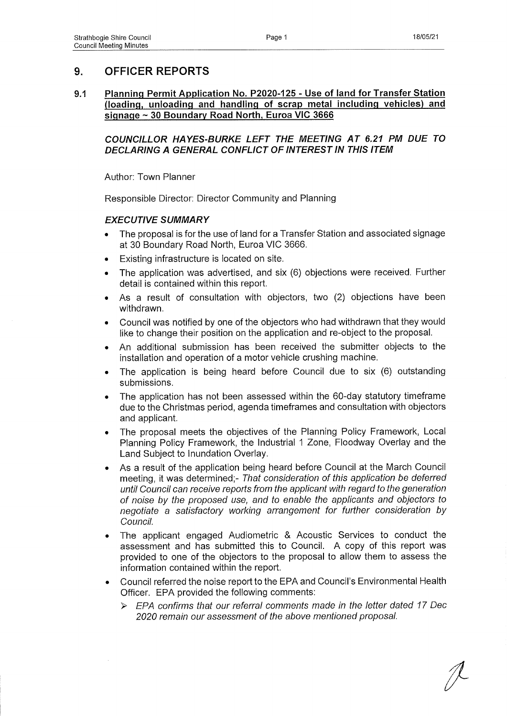# **9. OFFICER REPORTS**

### **9.1 Planning Permit Application No. P2020-125 - Use of land for Transfer Station (loading, unloading and handling of scrap metal including vehicles) and signage ~ 30 Boundary Road North. Euroa VIC 3666**

*COUNCILLOR HAYES-BURKE LEFT THE MEETING AT 6.21 PM DUE TO DECLARING A GENERAL CONFLICT OF INTEREST IN THIS ITEM*

Author: Town Planner

Responsible Director: Director Community and Planning

### *EXECUTIVE SUMMARY*

- The proposal is for the use of land for a Transfer Station and associated signage at 30 Boundary Road North, Euroa VIC 3666.
- Existing infrastructure is located on site.
- The application was advertised, and six (6) objections were received. Further detail is contained within this report.
- As a result of consultation with objectors, two (2) objections have been withdrawn.
- Council was notified by one of the objectors who had withdrawn that they would like to change their position on the application and re-object to the proposal.
- An additional submission has been received the submitter objects to the installation and operation of a motor vehicle crushing machine.
- The application is being heard before Council due to six (6) outstanding submissions.
- The application has not been assessed within the 60-day statutory timeframe due to the Christmas period, agenda timeframes and consultation with objectors and applicant.
- The proposal meets the objectives of the Planning Policy Framework, Local Planning Policy Framework, the Industrial 1 Zone, Floodway Overlay and the Land Subject to Inundation Overlay.
- As a result of the application being heard before Council at the March Council meeting, it was determined;- *That consideration of this application be deferred until Council can receive reports from the applicant with regard to the generation o f noise by the proposed use, and to enable the applicants and objectors to negotiate a satisfactory working arrangement for further consideration by Council.*
- The applicant engaged Audiometric & Acoustic Services to conduct the assessment and has submitted this to Council. A copy of this report was provided to one of the objectors to the proposal to allow them to assess the information contained within the report.
- Council referred the noise report to the EPA and Council's Environmental Health Officer. EPA provided the following comments:
	- > *EPA confirms that our referral comments made in the letter dated 17 Dec* 2020 remain our assessment of the above mentioned proposal.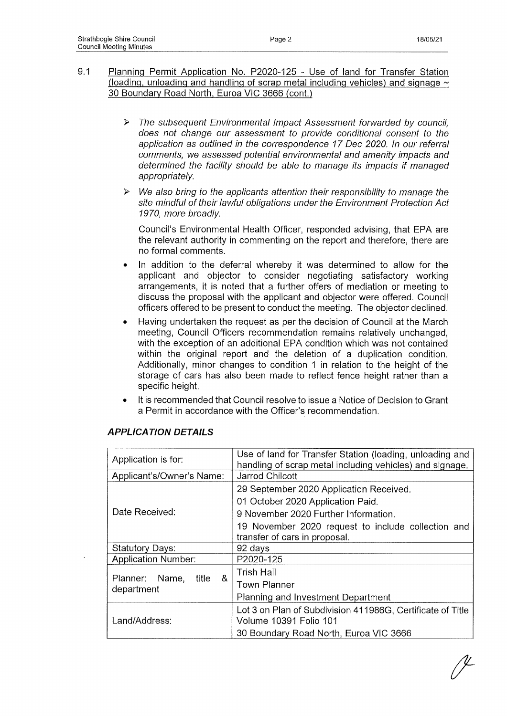- 9-1 Planning Permit Application No. P2020-125 Use of land for Transfer Station (loading, unloading and handling of scrap metal including vehicles) and signage  $\sim$ 30 Boundary Road North, Euroa VIC 3666 (cont.)
	- > *The subsequent Environmental Impact Assessment forwarded by council, does not change our assessment to provide conditional consent to the application as outlined in the correspondence 17 Dec 2020. In our referral comments, we assessed potential environmental and amenity impacts and determined the facility should be able to manage its impacts if managed appropriately.*
	- *> We also bring to the applicants attention their responsibility to manage the site mindful of their lawful obligations under the Environment Protection Act 1970, more broadly.*

Council's Environmental Health Officer, responded advising, that EPA are the relevant authority in commenting on the report and therefore, there are no formal comments.

- In addition to the deferral whereby it was determined to allow for the applicant and objector to consider negotiating satisfactory working arrangements, it is noted that a further offers of mediation or meeting to discuss the proposal with the applicant and objector were offered. Council officers offered to be present to conduct the meeting. The objector declined.
- Having undertaken the request as per the decision of Council at the March meeting, Council Officers recommendation remains relatively unchanged, with the exception of an additional EPA condition which was not contained within the original report and the deletion of a duplication condition. Additionally, minor changes to condition 1 in relation to the height of the storage of cars has also been made to reflect fence height rather than a specific height.
- It is recommended that Council resolve to issue a Notice of Decision to Grant a Permit in accordance with the Officer's recommendation.

| Application is for:          | Use of land for Transfer Station (loading, unloading and                    |
|------------------------------|-----------------------------------------------------------------------------|
|                              | handling of scrap metal including vehicles) and signage.<br>Jarrod Chilcott |
| Applicant's/Owner's Name:    |                                                                             |
|                              | 29 September 2020 Application Received.                                     |
|                              | 01 October 2020 Application Paid.                                           |
| Date Received:               | 9 November 2020 Further Information.                                        |
|                              | 19 November 2020 request to include collection and                          |
|                              | transfer of cars in proposal.                                               |
| <b>Statutory Days:</b>       | 92 days                                                                     |
| <b>Application Number:</b>   | P2020-125                                                                   |
| &<br>Planner: Name,<br>title | <b>Trish Hall</b>                                                           |
| department                   | <b>Town Planner</b>                                                         |
|                              | Planning and Investment Department                                          |
|                              | Lot 3 on Plan of Subdivision 411986G, Certificate of Title                  |
| Land/Address:                | <b>Volume 10391 Folio 101</b>                                               |
|                              | 30 Boundary Road North, Euroa VIC 3666                                      |

## *APPLICATION DETAILS*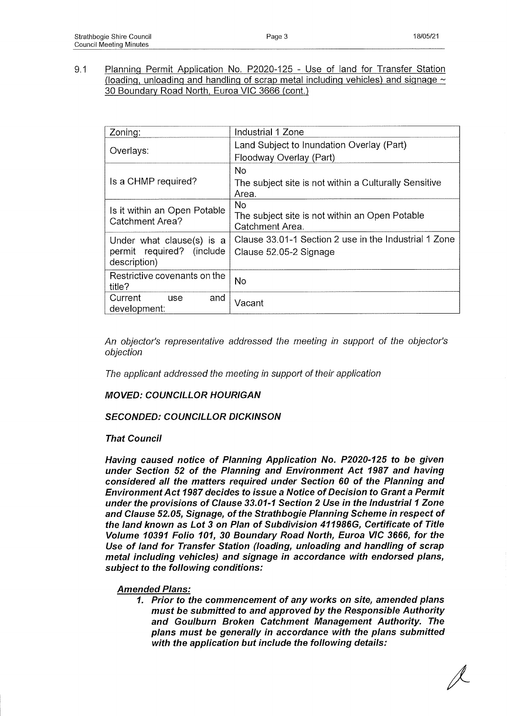9.1 Planning Permit Application No. P2020-125 - Use of land for Transfer Station (loading, unloading and handling of scrap metal including vehicles) and signage  $\sim$ 30 Boundary Road North, Euroa VIC 3666 (cont.)

| Zoning:                                                                | Industrial 1 Zone                                                               |
|------------------------------------------------------------------------|---------------------------------------------------------------------------------|
| Overlays:                                                              | Land Subject to Inundation Overlay (Part)<br>Floodway Overlay (Part)            |
| Is a CHMP required?                                                    | No.<br>The subject site is not within a Culturally Sensitive<br>Area.           |
| Is it within an Open Potable<br><b>Catchment Area?</b>                 | No.<br>The subject site is not within an Open Potable<br>Catchment Area.        |
| Under what clause(s) is a<br>permit required? (include<br>description) | Clause 33.01-1 Section 2 use in the Industrial 1 Zone<br>Clause 52.05-2 Signage |
| Restrictive covenants on the<br>title?                                 | <b>No</b>                                                                       |
| Current<br>and<br><b>use</b><br>development:                           | Vacant                                                                          |

*An objector's representative addressed the meeting in support of the objector's objection*

*The applicant addressed the meeting in support of their application*

*MOVED: COUNCILLOR HOURIGAN*

### *SECONDED: COUNCILLOR DICKINSON*

### *That Council*

*Having caused notice of Planning Application No. P2020-125 to be given under Section 52 of the Planning and Environment Act 1987 and having considered all the matters required under Section 60 of the Planning and Environment Act 1987 decides to issue a Notice of Decision to Grant a Permit under the provisions of Clause 33.01-1 Section 2 Use in the Industrial 1 Zone and Clause 52.05, Signage, of the Strathbogie Planning Scheme in respect of the land known as Lot 3 on Plan of Subdivision 411986G, Certificate of Title Volume 10391 Folio 101, 30 Boundary Road North, Euroa VIC 3666, for the Use of land for Transfer Station (loading, unloading and handling of scrap metal including vehicles) and signage in accordance with endorsed plans, subject to the following conditions:*

### *Amended Plans:*

*1. Prior to the commencement of any works on site, amended plans must be submitted to and approved by the Responsible Authority and Goulburn Broken Catchment Management Authority. The plans must be generally in accordance with the plans submitted with the application but include the following details:*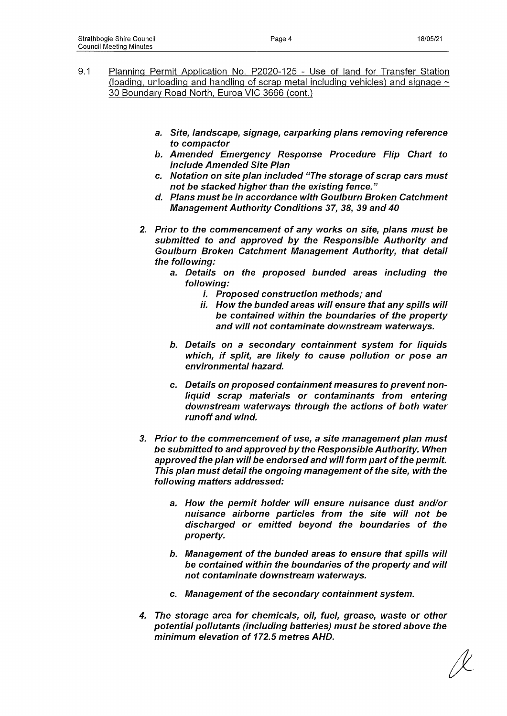- 9.1 Planning Permit Application No. P2020-125 Use of land for Transfer Station (loading, unloading and handling of scrap metal including vehicles) and signage  $\sim$ 30 Boundary Road North, Euroa VIC 3666 (cont.)
	- **a.** *Site, landscape, signage, carparking plans removing reference to compactor*
	- *b. Amended Emergency Response Procedure Flip Chart to include Amended Site Plan*
	- *c. Notation on site plan included "The storage of scrap cars must not be stacked higher than the existing fence."*
	- *d. Plans must be in accordance with Goulburn Broken Catchment Management Authority Conditions 37, 38, 39 and 40*
	- *2. Prior to the commencement of any works on site, plans must be submitted to and approved by the Responsible Authority and Goulburn Broken Catchment Management Authority, that detail the following:*
		- *a. Details on the proposed bunded areas including the following:*
			- *i. Proposed construction methods; and*
			- **//'.** *How the bunded areas will ensure that any spills will be contained within the boundaries of the property and will not contaminate downstream waterways.*
		- *b. Details on a secondary containment system for liquids which, if split, are likely to cause pollution or pose an environmental hazard.*
		- *c. Details on proposed containment measures to prevent nonliquid scrap materials or contaminants from entering downstream waterways through the actions of both water runoff and wind.*
	- *3. Prior to the commencement of use, a site management plan must be submitted to and approved by the Responsible Authority. When approved the plan will be endorsed and will form part of the permit. This plan must detail the ongoing management of the site, with the following matters addressed:*
		- *a. How the permit holder will ensure nuisance dust and/or nuisance airborne particles from the site will not be discharged or emitted beyond the boundaries of the property.*
		- *b. Management of the bunded areas to ensure that spills will be contained within the boundaries of the property and will not contaminate downstream waterways.*
		- *c. Management of the secondary containment system.*
	- *4. The storage area for chemicals, oil, fuel, grease, waste or other potential pollutants (including batteries) must be stored above the minimum elevation of 172.5 metres AHD.*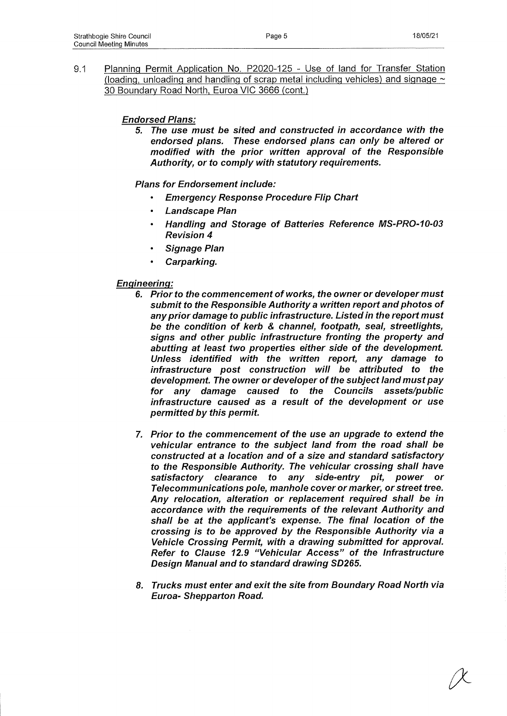9.1 Planning Permit Application No. P2020-125 - Use of land for Transfer Station (loading, unloading and handling of scrap metal including vehicles) and signage  $\sim$ 30 Boundary Road North, Euroa VIC 3666 (cont.)

## *Endorsed Plans:*

*5. The use must be sited and constructed in accordance with the endorsed plans. These endorsed plans can only be altered or modified with the prior written approval of the Responsible Authority, or to comply with statutory requirements.*

### *Plans for Endorsement include:*

- *Emergency Response Procedure Flip Chart*
- *Landscape Plan*
- *Handling and Storage of Batteries Reference MS-PRO-10-03 Revision 4*
- *Signage Plan*
- *Carparking.*

### *Engineering:*

- *6. Prior to the commencement of works, the owner or developer must submit to the Responsible Authority a written report and photos of any prior damage to public infrastructure. Listed in the report must be the condition of kerb & channel, footpath, seal, streetlights, signs and other public infrastructure fronting the property and abutting at least two properties either side of the development. Unless identified with the written report, any damage to infrastructure post construction will be attributed to the development. The owner or developer of the subject land must pay for any damage caused to the Councils assets/public infrastructure caused as a result of the development or use permitted by this permit.*
- **7.** *Prior to the commencement of the use an upgrade to extend the vehicular entrance to the subject land from the road shall be constructed at a location and of a size and standard satisfactory to the Responsible Authority. The vehicular crossing shall have satisfactory clearance to any side-entry pit, power or Telecommunications pole, manhole cover or marker, or street tree. Any relocation, alteration or replacement required shall be in accordance with the requirements of the relevant Authority and shall be at the applicant's expense. The final location of the crossing is to be approved by the Responsible Authority via a Vehicle Crossing Permit, with a drawing submitted for approval. Refer to Clause 12.9 "Vehicular Access" of the Infrastructure Design Manual and to standard drawing SD265.*
- *8. Trucks must enter and exit the site from Boundary Road North via Euroa- Shepparton Road.*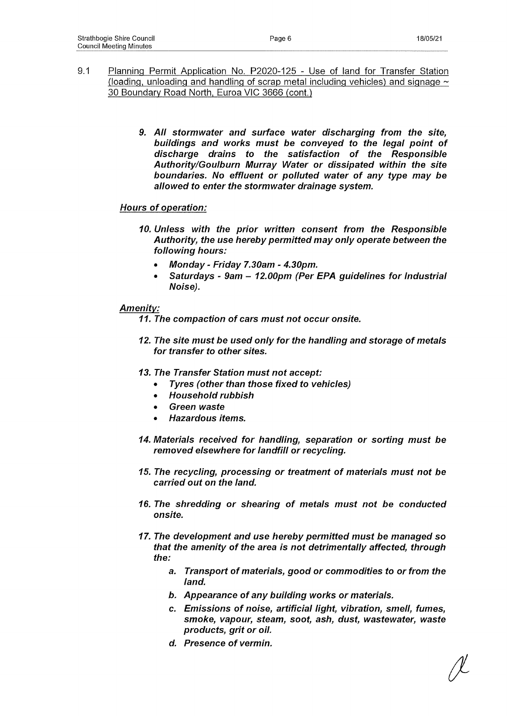- 9.1 Planning Permit Application No. P202Q-125 Use of land for Transfer Station (loading, unloading and handling of scrap metal including vehicles) and signage  $\sim$ 30 Boundary Road North, Euroa VIC 3666 (cont.)
	- *9. All stormwater and surface water discharging from the site, buildings and works must be conveyed to the legal point of discharge drains to the satisfaction of the Responsible Authority/Goulburn Murray Water or dissipated within the site boundaries. No effluent or polluted water of any type may be allowed to enter the stormwater drainage system.*

## *Hours of operation:*

- *10. Unless with the prior written consent from the Responsible Authority, the use hereby permitted may only operate between the following hours:*
	- *Monday Friday 7.30am 4.30pm.*
	- *Saturdays 9am 12.00pm (Per EPA guidelines for Industrial Noise).*

## *Amenity:*

*11. The compaction of cars must not occur onsite.*

- *12. The site must be used only for the handling and storage of metals for transfer to other sites.*
- *13. The Transfer Station must not accept:*
	- *Tyres (other than those fixed to vehicles)*
	- *Household rubbish*
	- *Green waste*
	- *Hazardous items.*
- *14. Materials received for handling, separation or sorting must be removed elsewhere for landfill or recycling.*
- *15. The recycling, processing or treatment of materials must not be carried out on the land.*
- *16. The shredding or shearing of metals must not be conducted onsite.*
- *17. The development and use hereby permitted must be managed so that the amenity of the area is not detrimentally affected, through the:*
	- *a. Transport of materials, good or commodities to or from the land.*
	- *b. Appearance of any building works or materials.*
	- *c. Emissions of noise, artificial light, vibration, smell, fumes, smoke, vapour, steam, soot, ash, dust, wastewater, waste products, grit or oil.*
	- *d. Presence of vermin.*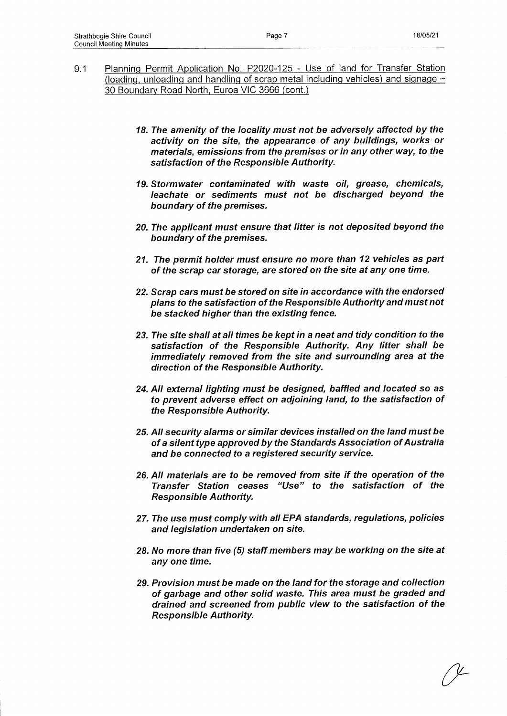- 9.1 Planning Permit Application No. P2020-125 Use of land for Transfer Station (loading, unloading and handling of scrap metal including vehicles) and signage  $\sim$ 30 Boundary Road North. Euroa VIC 3666 (cont.)
	- *18. The amenity of the locality must not be adversely affected by the activity on the site, the appearance of any buildings, works or materials, emissions from the premises or in any other way, to the satisfaction of the Responsible Authority.*
	- *19. Stormwater contaminated with waste oil, grease, chemicals, leachate or sediments must not be discharged beyond the boundary of the premises.*
	- *20. The applicant must ensure that litter is not deposited beyond the boundary of the premises.*
	- *21. The permit holder must ensure no more than 12 vehicles as part of the scrap car storage, are stored on the site at any one time.*
	- *22. Scrap cars must be stored on site in accordance with the endorsed plans to the satisfaction of the Responsible Authority and must not be stacked higher than the existing fence.*
	- *23. The site shall at all times be kept in a neat and tidy condition to the satisfaction of the Responsible Authority. Any litter shall be immediately removed from the site and surrounding area at the direction of the Responsible Authority.*
	- *24. All external lighting must be designed, baffled and located so as to prevent adverse effect on adjoining land, to the satisfaction of the Responsible Authority.*
	- *25. All security alarms or similar devices installed on the land must be of a silent type approved by the Standards Association of Australia and be connected to a registered security service.*
	- *26. All materials are to be removed from site if the operation of the Transfer Station ceases "Use" to the satisfaction of the Responsible Authority.*
	- *27. The use must comply with all EPA standards, regulations, policies and legislation undertaken on site.*
	- *28. No more than five (5) staff members may be working on the site at any one time.*
	- *29. Provision must be made on the land for the storage and collection of garbage and other solid waste. This area must be graded and drained and screened from public view to the satisfaction of the Responsible Authority.*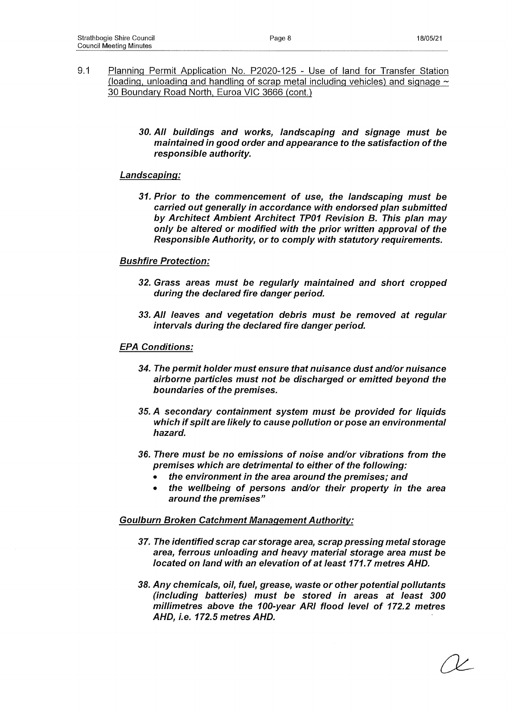- 9-1 Planning Permit Application No. P2020-125 Use of land for Transfer Station (loading, unloading and handling of scrap metal including vehicles) and signage  $\sim$ 30 Boundary Road North, Euroa VIC 3666 (cont.)
	- *30. All buildings and works, landscaping and signage must be maintained in good order and appearance to the satisfaction of the responsible authority.*

#### *Landscaping:*

*31. Prior to the commencement of use, the landscaping must be carried out generally in accordance with endorsed plan submitted by Architect Ambient Architect TP01 Revision B. This plan may only be altered or modified with the prior written approval of the Responsible Authority, or to comply with statutory requirements.*

### *Bushfire Protection:*

- *32. Grass areas must be regularly maintained and short cropped during the declared fire danger period.*
- *33. All leaves and vegetation debris must be removed at regular intervals during the declared fire danger period.*

#### *EPA Conditions:*

- *34. The permit holder must ensure that nuisance dust and/or nuisance airborne particles must not be discharged or emitted beyond the boundaries of the premises.*
- *35. A secondary containment system must be provided for liquids which if spilt are likely to cause pollution or pose an environmental hazard.*
- *36. There must be no emissions of noise and/or vibrations from the premises which are detrimental to either of the following:*
	- *the environment in the area around the premises; and*
	- *the wellbeing of persons and/or their property in the area around the premises"*

### *Goulburn Broken Catchment Management Authority:*

- *37. The identified scrap car storage area, scrap pressing metal storage area, ferrous unloading and heavy material storage area must be located on land with an elevation of at least 171.7 metres AHD.*
- *38. Any chemicals, oil, fuel, grease, waste or other potential pollutants (including batteries) must be stored in areas at least 300 millimetres above the 100-year ARI flood level of 172.2 metres AHD, i.e. 172.5 metres AHD.*

*C k ~*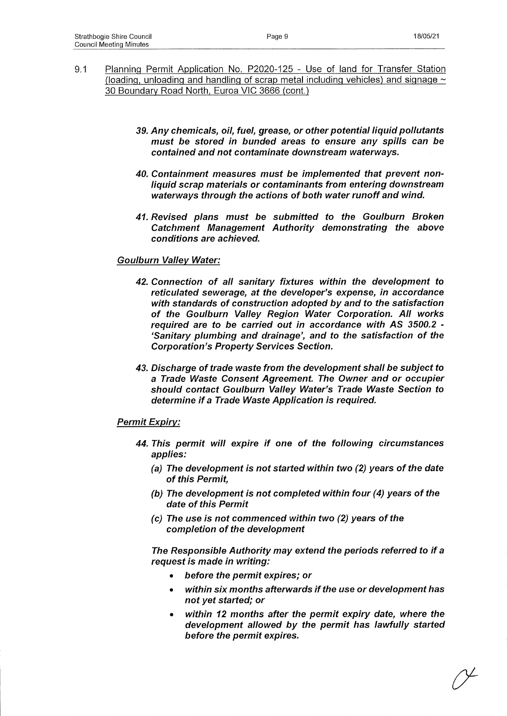- 9.1 Planning Permit Application No. P2020-125 Use of land for Transfer Station (loading, unloading and handling of scrap metal including vehicles) and signage  $\sim$ 30 Boundary Road North. Euroa VIC 3666 (cont.)
	- **39.** *Any chemicals, oil, fuel, grease, or other potential liquid pollutants must be stored in bunded areas to ensure any spills can be contained and not contaminate downstream waterways.*
	- *40. Containment measures must be implemented that prevent nonliquid scrap materials or contaminants from entering downstream waterways through the actions of both water runoff and wind.*
	- *41. Revised plans must be submitted to the Goulburn Broken Catchment Management Authority demonstrating the above conditions are achieved.*

#### *Goulburn Valiev Water:*

- *42. Connection of all sanitary fixtures within the development to reticulated sewerage, at the developer's expense, in accordance with standards of construction adopted by and to the satisfaction of the Goulburn Valley Region Water Corporation. All works required are to be carried out in accordance with AS 3500.2 - 'Sanitary plumbing and drainage', and to the satisfaction of the Corporation's Property Services Section.*
- *43. Discharge of trade waste from the development shall be subject to a Trade Waste Consent Agreement. The Owner and or occupier should contact Goulburn Valley Water's Trade Waste Section to determine if a Trade Waste Application is required.*

#### *Permit Expiry:*

- *44. This permit will expire if one of the following circumstances applies:*
	- *(a) The development is not started within two (2) years of the date of this Permit,*
	- *(b) The development is not completed within four (4) years of the date of this Permit*
	- *(c) The use is not commenced within two (2) years of the completion of the development*

*The Responsible Authority may extend the periods referred to if a request is made in writing:*

- *before the permit expires; or*
- *within six months afterwards if the use or development has not yet started; or*
- *within 12 months after the permit expiry date, where the development allowed by the permit has lawfully started before the permit expires.*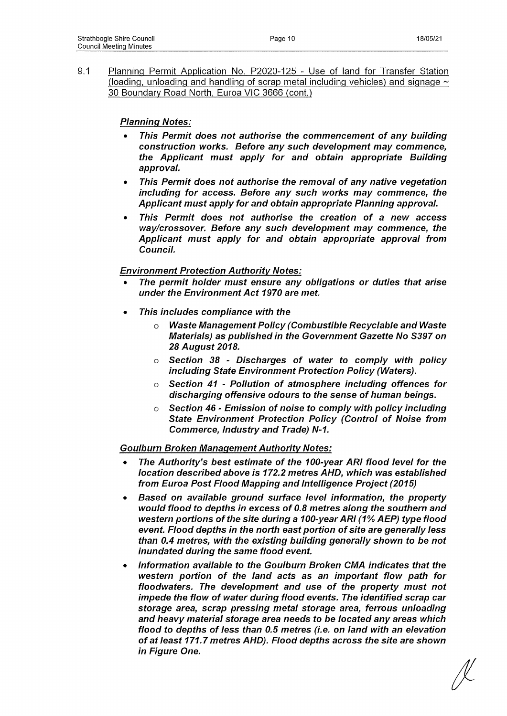9.1 Planning Permit Application No. P2020-125 - Use of land for Transfer Station (loading, unloading and handling of scrap metal including vehicles) and signage  $\sim$ 30 Boundary Road North, Euroa VIC 3666 (cont.)

## *Planning Notes:*

- *This Permit does not authorise the commencement of any building construction works. Before any such development may commence, the Applicant must apply for and obtain appropriate Building approval.*
- *This Permit does not authorise the removal of any native vegetation including for access. Before any such works may commence, the Applicant must apply for and obtain appropriate Planning approval.*
- *This Permit does not authorise the creation of a new access way/crossover. Before any such development may commence, the Applicant must apply for and obtain appropriate approval from Council.*

### *Environment Protection Authority Notes:*

- *The permit holder must ensure any obligations or duties that arise under the Environment Act 1970 are met.*
- *This includes compliance with the*
	- *o Waste Management Policy (Combustible Recyclable and Waste Materials) as published in the Government Gazette No S397 on 28 August 2018.*
	- *o Section 38 Discharges of water to comply with policy including State Environment Protection Policy (Waters).*
	- *o Section 41 Pollution of atmosphere including offences for discharging offensive odours to the sense of human beings.*
	- o *Section 46 Emission of noise to comply with policy including State Environment Protection Policy (Control of Noise from Commerce, Industry and Trade) N-1.*

### *Goulburn Broken Management Authority Notes:*

- *The Authority's best estimate of the 100-year ARI flood level for the location described above is 172.2 metres AHD, which was established from Euroa Post Flood Mapping and Intelligence Project (2015)*
- *Based on available ground surface level information, the property would flood to depths in excess of 0.8 metres along the southern and western portions of the site during a 100-year ARI (1% AEP) type flood event. Flood depths in the north east portion of site are generally less than 0.4 metres, with the existing building generally shown to be not inundated during the same flood event.*
- *Information available to the Goulburn Broken CMA indicates that the western portion of the land acts as an important flow path for floodwaters. The development and use of the property must not impede the flow of water during flood events. The identified scrap car storage area, scrap pressing metal storage area, ferrous unloading and heavy material storage area needs to be located any areas which flood to depths of less than 0.5 metres (i.e. on land with an elevation of at least 171.7 metres AHD). Flood depths across the site are shown in Figure One.*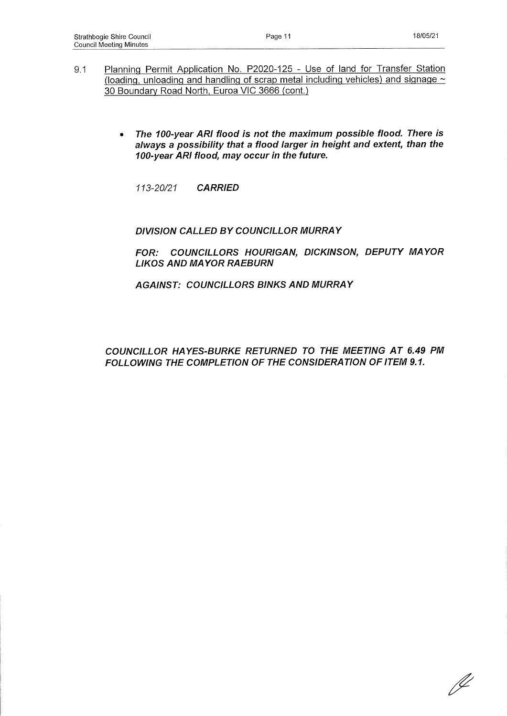- 9.1 Planning Permit Application No. P2020-125 Use of land for Transfer Station (loading, unloading and handling of scrap metal including vehicles) and signage  $\sim$ 30 Boundary Road North, Euroa VIC 3666 (cont.)
	- *The 100-year ARI flood is not the maximum possible flood. There Is always a possibility that a flood larger in height and extent, than the 100-year ARI flood, may occur in the future.*

*113-20/21 CARRIED*

### *DIVISION CALLED BY COUNCILLOR MURRAY*

*FOR: COUNCILLORS HOURIGAN, DICKINSON, DEPUTY MAYOR LIKOS AND MAYOR RAEBURN*

*AGAINST: COUNCILLORS BINKS AND MURRAY*

*COUNCILLOR HAYES-BURKE RETURNED TO THE MEETING AT 6.49 PM FOLLOWING THE COMPLETION OF THE CONSIDERATION OF ITEM 9.1.*

D-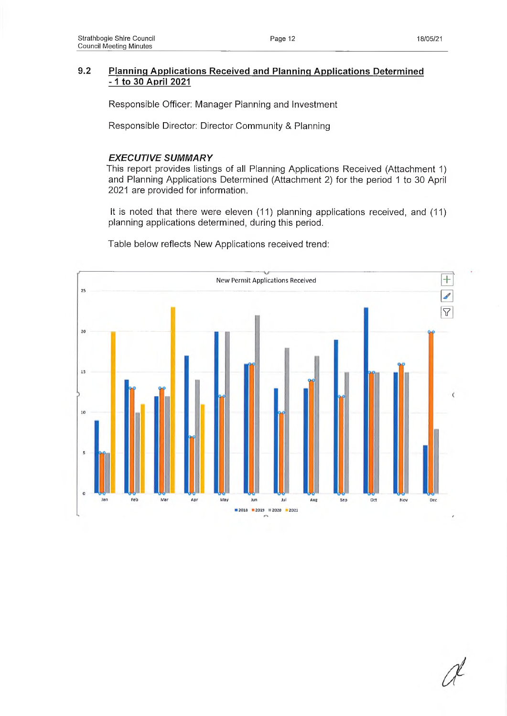### **9.2 Planning Applications Received and Planning Applications Determined -1 to 30 April 2021**

Responsible Officer: Manager Planning and Investment

Responsible Director: Director Community & Planning

#### *EXECUTIVE SUMMARY*

This report provides listings of all Planning Applications Received (Attachment 1) and Planning Applications Determined (Attachment 2) for the period 1 to 30 April 2021 are provided for information.

It is noted that there were eleven (11) planning applications received, and (11) planning applications determined, during this period.



Table below reflects New Applications received trend: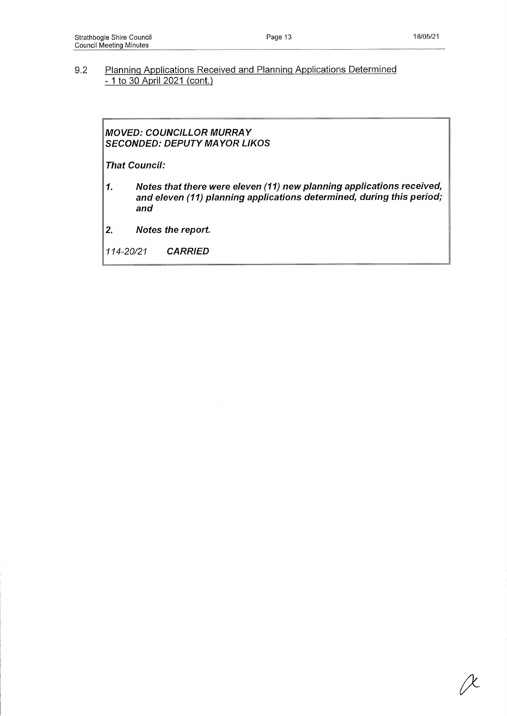## 9.2 Planning Applications Received and Planning Applications Determined - 1 to 30 April 2021 (cont.)

### *MOVED: COUNCILLOR MURRAY SECONDED: DEPUTY MAYOR LIKOS*

*That Council:*

- *1. Notes that there were eleven (11) new planning applications received, and eleven (11) planning applications determined, during this period; and*
- *2. Notes the report.*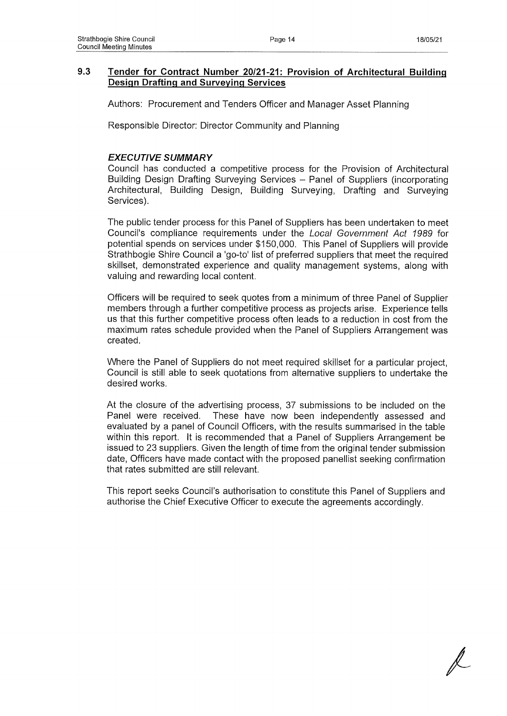## **9.3 Tender for Contract Number 20/21-21: Provision of Architectural Building Design Drafting and Surveying Services**

Authors: Procurement and Tenders Officer and Manager Asset Planning

Responsible Director: Director Community and Planning

### *EXECUTIVE SUMMARY*

Council has conducted a competitive process for the Provision of Architectural Building Design Drafting Surveying Services - Panel of Suppliers (incorporating Architectural, Building Design, Building Surveying, Drafting and Surveying Services).

The public tender process for this Panel of Suppliers has been undertaken to meet Council's compliance requirements under the *Local Government Act 1989* for potential spends on services under \$150,000. This Panel of Suppliers will provide Strathbogie Shire Council a 'go-to' list of preferred suppliers that meet the required skillset, demonstrated experience and quality management systems, along with valuing and rewarding local content.

Officers will be required to seek quotes from a minimum of three Panel of Supplier members through a further competitive process as projects arise. Experience tells us that this further competitive process often leads to a reduction in cost from the maximum rates schedule provided when the Panel of Suppliers Arrangement was created.

Where the Panel of Suppliers do not meet required skillset for a particular project, Council is still able to seek quotations from alternative suppliers to undertake the desired works.

At the closure of the advertising process, 37 submissions to be included on the Panel were received. These have now been independently assessed and evaluated by a panel of Council Officers, with the results summarised in the table within this report. It is recommended that a Panel of Suppliers Arrangement be issued to 23 suppliers. Given the length of time from the original tender submission date, Officers have made contact with the proposed panellist seeking confirmation that rates submitted are still relevant.

This report seeks Council's authorisation to constitute this Panel of Suppliers and authorise the Chief Executive Officer to execute the agreements accordingly.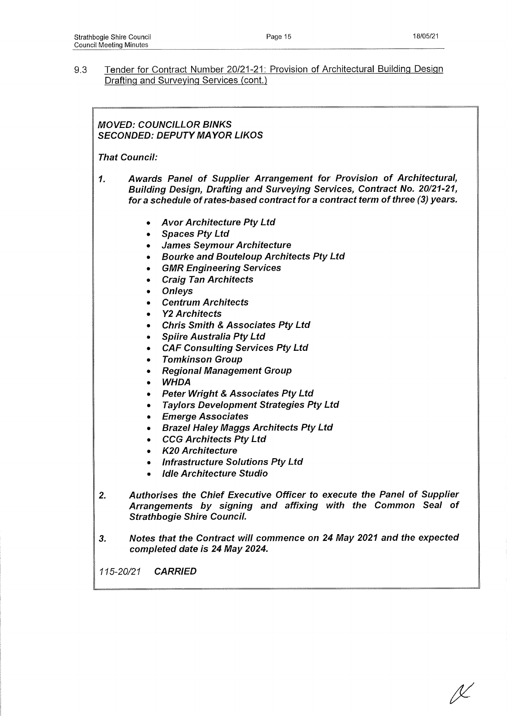9.3 Tender for Contract Number 20/21-21: Provision of Architectural Building Design Drafting and Surveying Services (cont.)

## *MOVED: COUNCILLOR BINKS SECONDED: DEPUTY MAYOR LIKOS*

*That Council:*

- *1. Awards Panel of Supplier Arrangement for Provision of Architectural, Building Design, Drafting and Surveying Services, Contract No. 20/21-21, for a schedule of rates-based contract for a contract term of three (3) years.*
	- *Avor Architecture Pty Ltd*
	- *Spaces Pty Ltd*
	- *James Seymour Architecture*
	- *Bourke and Bouteloup Architects Pty Ltd*
	- *GMR Engineering Services*
	- *Craig Tan Architects*
	- *Onleys*
	- *Centrum Architects*
	- *Y2 Architects*
	- *Chris Smith & Associates Pty Ltd*
	- *Spiire Australia Pty Ltd*
	- *CAF Consulting Services Pty Ltd*
	- *Tomkinson Group*
	- *Regional Management Group*
	- *WHDA*
	- *Peter Wright & Associates Pty Ltd*
	- *Taylors Development Strategies Pty Ltd*
	- *Emerge Associates*
	- *BrazeI Haley Maggs Architects Pty Ltd*
	- *CCG Architects Pty Ltd*
	- *K20 Architecture*
	- *Infrastructure Solutions Pty Ltd*
	- *Idle Architecture Studio*
- *2. Authorises the Chief Executive Officer to execute the Panel of Supplier Arrangements by signing and affixing with the Common Seal of Strathbogie Shire Council.*
- *3. Notes that the Contract will commence on 24 May 2021 and the expected completed date is 24 May 2024.*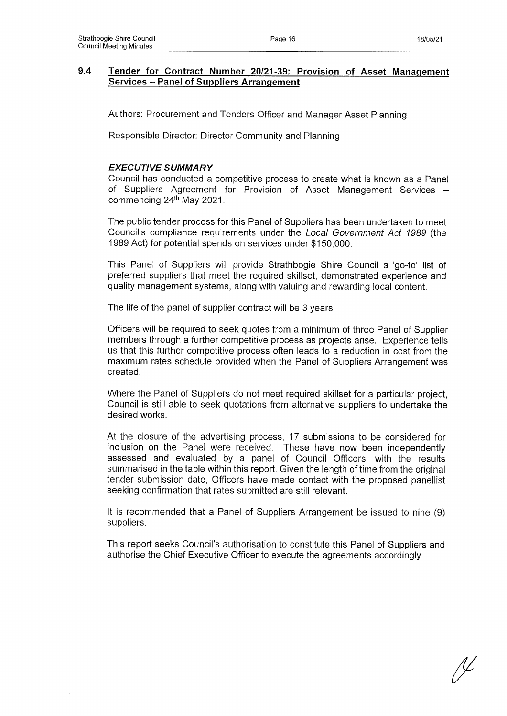### **9.4 Tender for Contract Number 20/21-39: Provision of Asset Management Services - Panel of Suppliers Arrangement**

Authors: Procurement and Tenders Officer and Manager Asset Planning

Responsible Director: Director Community and Planning

### *EXECUTIVE SUMMARY*

Council has conducted a competitive process to create what is known as a Panel of Suppliers Agreement for Provision of Asset Management Services commencing 24<sup>th</sup> May 2021.

The public tender process for this Panel of Suppliers has been undertaken to meet Council's compliance requirements under the *Local Government Act 1989* (the 1989 Act) for potential spends on services under \$150,000.

This Panel of Suppliers will provide Strathbogie Shire Council a 'go-to' list of preferred suppliers that meet the required skillset, demonstrated experience and quality management systems, along with valuing and rewarding local content.

The life of the panel of supplier contract will be 3 years.

Officers will be required to seek quotes from a minimum of three Panel of Supplier members through a further competitive process as projects arise. Experience tells us that this further competitive process often leads to a reduction in cost from the maximum rates schedule provided when the Panel of Suppliers Arrangement was created.

Where the Panel of Suppliers do not meet required skillset for a particular project, Council is still able to seek quotations from alternative suppliers to undertake the desired works.

At the closure of the advertising process, 17 submissions to be considered for inclusion on the Panel were received. These have now been independently assessed and evaluated by a panel of Council Officers, with the results summarised in the table within this report. Given the length of time from the original tender submission date, Officers have made contact with the proposed panellist seeking confirmation that rates submitted are still relevant.

It is recommended that a Panel of Suppliers Arrangement be issued to nine (9) suppliers.

This report seeks Council's authorisation to constitute this Panel of Suppliers and authorise the Chief Executive Officer to execute the agreements accordingly.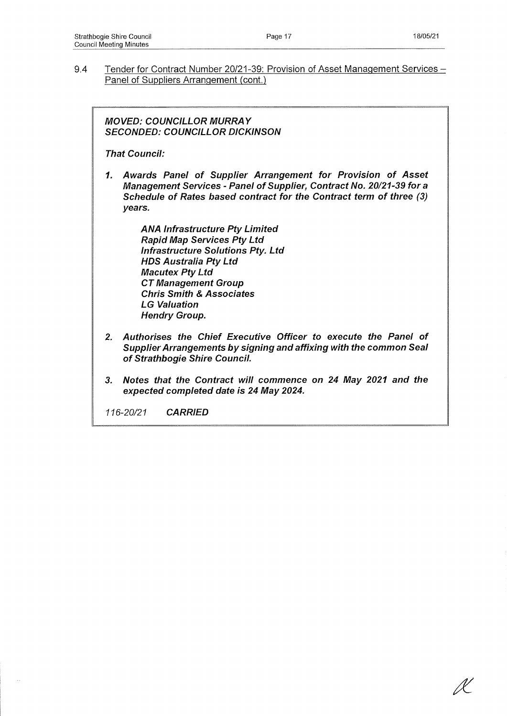9.4 Tender for Contract Number 20/21-39: Provision of Asset Management Services -Panel of Suppliers Arrangement (cont.)

*MOVED: COUNCILLOR MURRAY SECONDED: COUNCILLOR DICKINSON*

*That Council:*

*1. Awards Panel of Supplier Arrangement for Provision of Asset Management Services - Panel of Supplier, Contract No. 20/21-39 fora Schedule of Rates based contract for the Contract term of three (3) years.*

> *ANA Infrastructure Pty Limited Rapid Map Services Pty Ltd Infrastructure Solutions Pty. Ltd HDS Australia Pty Ltd Macutex Pty Ltd CT Management Group Chris Smith & Associates LG Valuation Hendry Group.*

- *2. Authorises the Chief Executive Officer to execute the Panel of Supplier Arrangements by signing and affixing with the common Seal of Strathbogie Shire Council.*
- *3. Notes that the Contract will commence on 24 May 2021 and the expected completed date is 24 May 2024.*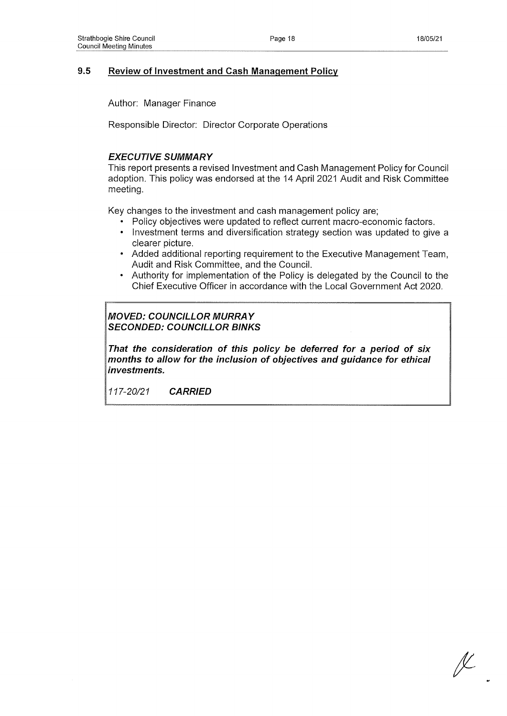## **9.5 Review of Investment and Cash Management Policy**

Author: Manager Finance

Responsible Director: Director Corporate Operations

### *EXECUTIVE SUMMARY*

This report presents a revised Investment and Cash Management Policy for Council adoption. This policy was endorsed at the 14 April 2021 Audit and Risk Committee meeting.

Key changes to the investment and cash management policy are;

- Policy objectives were updated to reflect current macro-economic factors.
- Investment terms and diversification strategy section was updated to give a clearer picture.
- Added additional reporting requirement to the Executive Management Team, Audit and Risk Committee, and the Council.
- Authority for implementation of the Policy is delegated by the Council to the Chief Executive Officer in accordance with the Local Government Act 2020.

## *MOVED: COUNCILLOR MURRAY SECONDED: COUNCILLOR BINKS*

*That the consideration of this policy be deferred for a period of six months to allow for the inclusion of objectives and guidance for ethical investments.*

ſĽ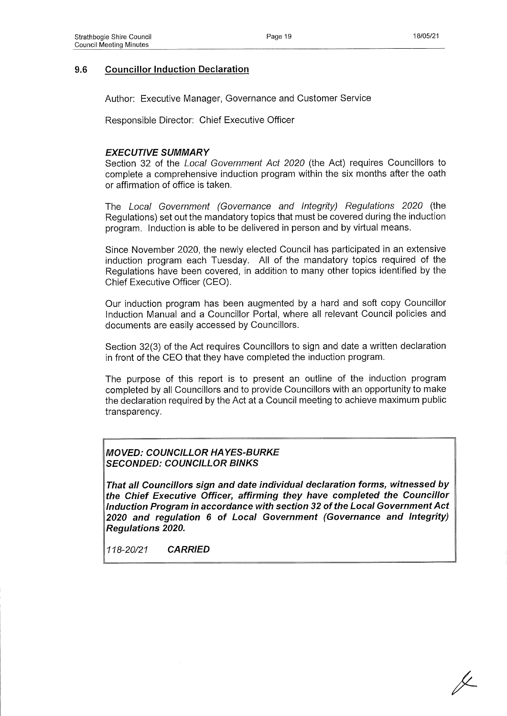## **9.6 Councillor Induction Declaration**

Author: Executive Manager, Governance and Customer Service

Responsible Director: Chief Executive Officer

## *EXECUTIVE SUMMARY*

Section 32 of the *Local Government Act 2020* (the Act) requires Councillors to complete a comprehensive induction program within the six months after the oath or affirmation of office is taken.

The *Local Government (Governance and Integrity) Regulations 2020* (the Regulations) set out the mandatory topics that must be covered during the induction program. Induction is able to be delivered in person and by virtual means.

Since November 2020, the newly elected Council has participated in an extensive induction program each Tuesday. All of the mandatory topics required of the Regulations have been covered, in addition to many other topics identified by the Chief Executive Officer (CEO).

Our induction program has been augmented by a hard and soft copy Councillor Induction Manual and a Councillor Portal, where all relevant Council policies and documents are easily accessed by Councillors.

Section 32(3) of the Act requires Councillors to sign and date a written declaration in front of the CEO that they have completed the induction program.

The purpose of this report is to present an outline of the induction program completed by all Councillors and to provide Councillors with an opportunity to make the declaration required by the Act at a Council meeting to achieve maximum public transparency.

## *MOVED: COUNCILLOR HAYES-BURKE SECONDED: COUNCILLOR BINKS*

*That all Councillors sign and date individual declaration forms, witnessed by the Chief Executive Officer, affirming they have completed the Councillor Induction Program in accordance with section 32 of the Local Government Act 2020 and regulation 6 of Local Government (Governance and Integrity) Regulations 2020.*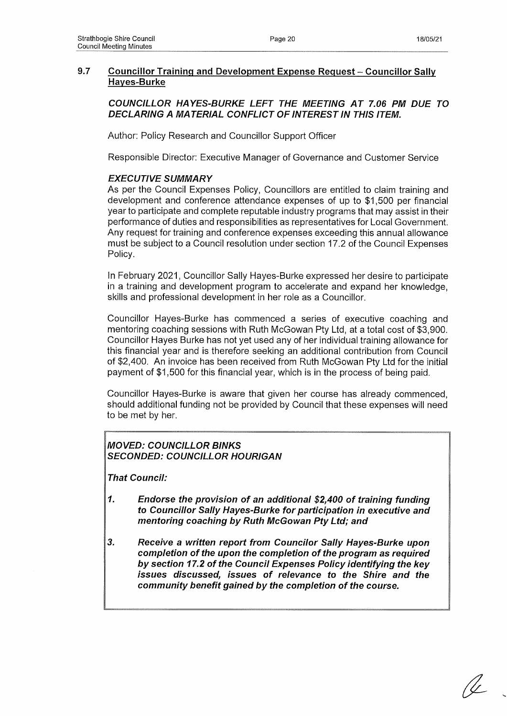## **9.7 Councillor Training and Development Expense Request-Councillor Sally Hayes-Burke**

### *COUNCILLOR HAYES-BURKE LEFT THE MEETING A T 7.06 PM DUE TO DECLARING A MATERIAL CONFLICT OF INTEREST IN THIS ITEM.*

Author: Policy Research and Councillor Support Officer

Responsible Director: Executive Manager of Governance and Customer Service

### *EXECUTIVE SUMMARY*

As per the Council Expenses Policy, Councillors are entitled to claim training and development and conference attendance expenses of up to \$1,500 per financial year to participate and complete reputable industry programs that may assist in their performance of duties and responsibilities as representatives for Local Government. Any request for training and conference expenses exceeding this annual allowance must be subject to a Council resolution under section 17.2 of the Council Expenses Policy.

In February 2021, Councillor Sally Hayes-Burke expressed her desire to participate in a training and development program to accelerate and expand her knowledge, skills and professional development in her role as a Councillor.

Councillor Hayes-Burke has commenced a series of executive coaching and mentoring coaching sessions with Ruth McGowan Pty Ltd, at a total cost of \$3,900. Councillor Hayes Burke has not yet used any of her individual training allowance for this financial year and is therefore seeking an additional contribution from Council of \$2,400. An invoice has been received from Ruth McGowan Pty Ltd for the initial payment of \$1,500 for this financial year, which is in the process of being paid.

Councillor Hayes-Burke is aware that given her course has already commenced, should additional funding not be provided by Council that these expenses will need to be met by her.

## *MOVED: COUNCILLOR BINKS SECONDED: COUNCILLOR HOURIGAN*

*That Council:*

- *1. Endorse the provision of an additional \$2,400 of training funding to Councillor Sally Hayes-Burke for participation in executive and mentoring coaching by Ruth McGowan Pty Ltd; and*
- *3. Receive a written report from Councilor Sally Hayes-Burke upon completion of the upon the completion of the program as required by section 17.2 of the Council Expenses Policy identifying the key issues discussed, issues of relevance to the Shire and the community benefit gained by the completion of the course.*

U \_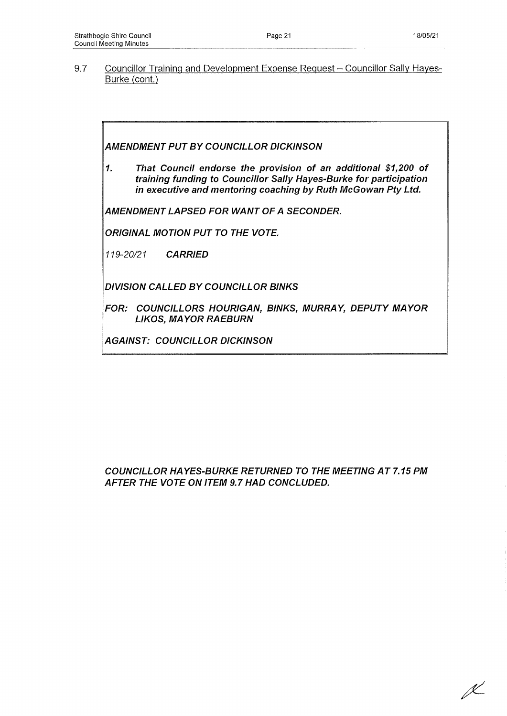9.7 Councillor Training and Development Expense Request - Councillor Sally Hayes-Burke (cont.)

*AMENDMENT PUT BY COUNCILLOR DICKINSON*

*1. That Council endorse the provision of an additional \$1,200 of training funding to Councillor Sally Hayes-Burke for participation in executive and mentoring coaching by Ruth McGowan Pty Ltd.*

*AMENDMENT LAPSED FOR WANT OF A SECONDER.*

*ORIGINAL MOTION PUT TO THE VOTE.*

*119-20/21 CARRIED*

*DIVISION CALLED BY COUNCILLOR BINKS*

*FOR: COUNCILLORS HOURIGAN, BINKS, MURRAY, DEPUTY MAYOR LIKOS, MAYOR RAEBURN*

*AGAINST: COUNCILLOR DICKINSON*

*COUNCILLOR HAYES-BURKE RETURNED TO THE MEETING AT 7.15 PM AFTER THE VOTE ON ITEM 9.7 HAD CONCLUDED.*

**X**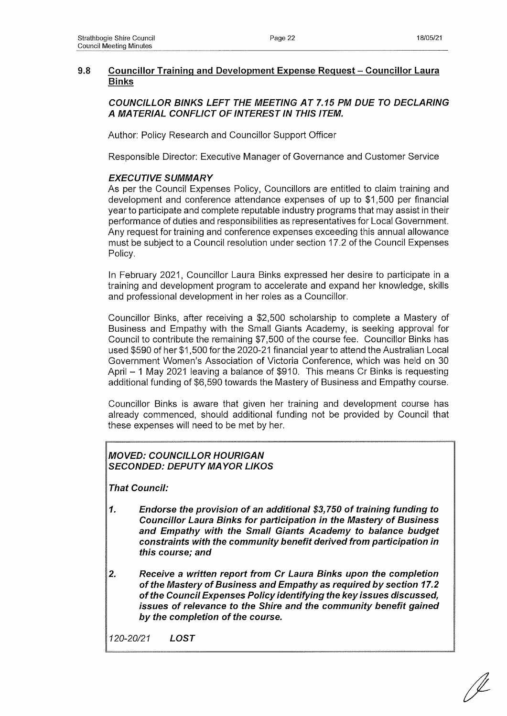## **9.8 Councillor Training and Development Expense Request - Councillor Laura Binks**

### *COUNCILLOR BINKS LEFT THE MEETING AT 7.15 PM DUE TO DECLARING A MATERIAL CONFLICT OF INTEREST IN THIS ITEM.*

Author: Policy Research and Councillor Support Officer

Responsible Director: Executive Manager of Governance and Customer Service

### *EXECUTIVE SUMMARY*

As per the Council Expenses Policy, Councillors are entitled to claim training and development and conference attendance expenses of up to \$1,500 per financial year to participate and complete reputable industry programs that may assist in their performance of duties and responsibilities as representatives for Local Government. Any request for training and conference expenses exceeding this annual allowance must be subject to a Council resolution under section 17.2 of the Council Expenses Policy.

In February 2021, Councillor Laura Binks expressed her desire to participate in a training and development program to accelerate and expand her knowledge, skills and professional development in her roles as a Councillor.

Councillor Binks, after receiving a \$2,500 scholarship to complete a Mastery of Business and Empathy with the Small Giants Academy, is seeking approval for Council to contribute the remaining \$7,500 of the course fee. Councillor Binks has used \$590 of her \$1,500 for the 2020-21 financial year to attend the Australian Local Government Women's Association of Victoria Conference, which was held on 30 April - 1 May 2021 leaving a balance of \$910. This means Cr Binks is requesting additional funding of \$6,590 towards the Mastery of Business and Empathy course.

Councillor Binks is aware that given her training and development course has already commenced, should additional funding not be provided by Council that these expenses will need to be met by her.

### *MOVED: COUNCILLOR HOURIGAN SECONDED: DEPUTY MAYOR LIKOS*

*That Council:*

- *1. Endorse the provision of an additional \$3,750 of training funding to Councillor Laura Binks for participation in the Mastery of Business and Empathy with the Small Giants Academy to balance budget constraints with the community benefit derived from participation in this course; and*
- *2. Receive a written report from Cr Laura Binks upon the completion of the Mastery of Business and Empathy as required by section 17.2 of the Council Expenses Policy identifying the key issues discussed, issues of relevance to the Shire and the community benefit gained by the completion of the course.*

*120-20/21 LOST*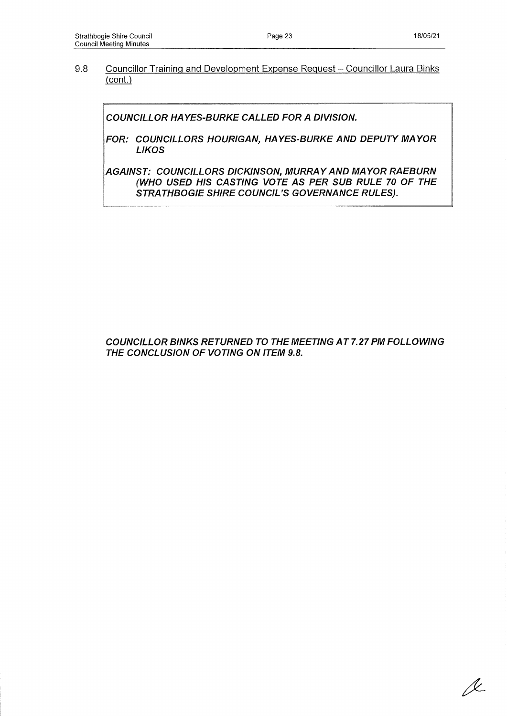*A*

#### 9.8 Councillor Training and Development Expense Request - Councillor Laura Binks (cont.)

*COUNCILLOR HAYES-BURKE CALLED FOR A DIVISION.*

*FOR: COUNCILLORS HOURIGAN, HAYES-BURKE AND DEPUTY MAYOR LIKOS*

*AGAINST: COUNCILLORS DICKINSON, MURRAY AND MAYOR RAEBURN (WHO USED HIS CASTING VOTE AS PER SUB RULE 70 OF THE STRATHBOGIE SHIRE COUNCIL'S GOVERNANCE RULES).*

## *COUNCILLOR BINKS RETURNED TO THE MEETING A T 7.27 PM FOLLOWING THE CONCLUSION OF VOTING ON ITEM 9.8.*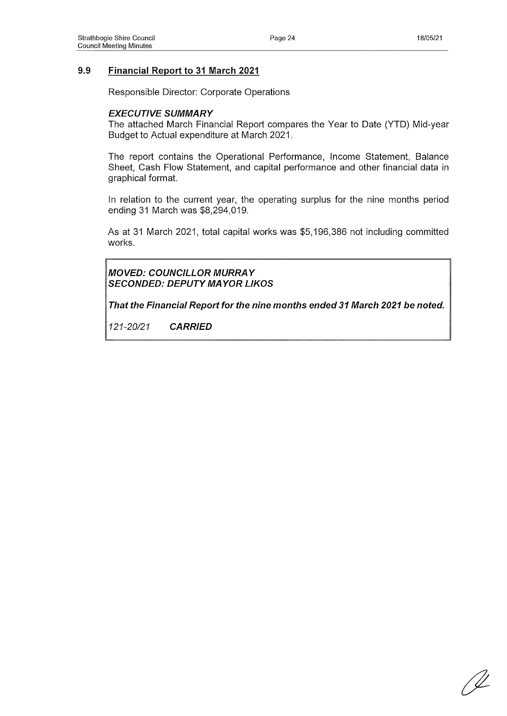## **9.9 Financial Report to 31 March 2021**

Responsible Director: Corporate Operations

#### *EXECUTIVE SUMMARY*

The attached March Financial Report compares the Year to Date (YTD) Mid-year Budget to Actual expenditure at March 2021.

The report contains the Operational Performance, Income Statement, Balance Sheet, Cash Flow Statement, and capital performance and other financial data in graphical format.

In relation to the current year, the operating surplus for the nine months period ending 31 March was \$8,294,019.

As at 31 March 2021, total capital works was \$5,196,386 not including committed works.

*MOVED: COUNCILLOR MURRAY SECONDED: DEPUTY MAYOR LIKOS*

*That the Financial Report for the nine months ended 31 March 2021 be noted.*

' <u>U</u>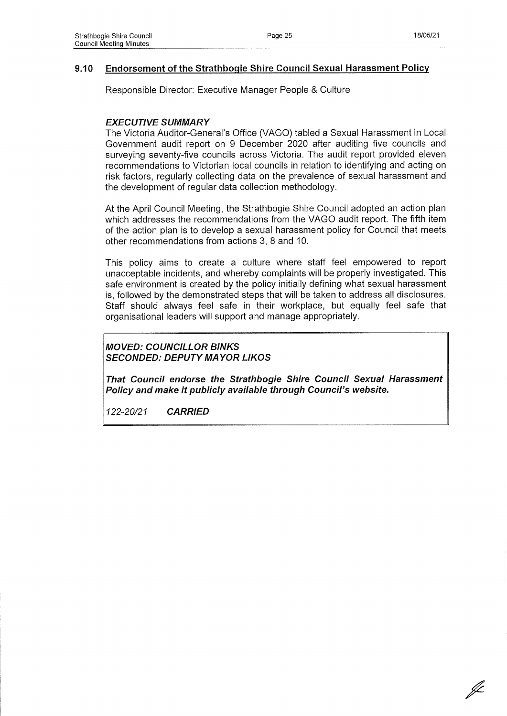### **9.10 Endorsement of the Strathbogie Shire Council Sexual Harassment Policy**

Responsible Director: Executive Manager People & Culture

## *EXECUTIVE SUMMARY*

The Victoria Auditor-General's Office (VAGO) tabled a Sexual Harassment in Local Government audit report on 9 December 2020 after auditing five councils and surveying seventy-five councils across Victoria. The audit report provided eleven recommendations to Victorian local councils in relation to identifying and acting on risk factors, regularly collecting data on the prevalence of sexual harassment and the development of regular data collection methodology.

At the April Council Meeting, the Strathbogie Shire Council adopted an action plan which addresses the recommendations from the VAGO audit report. The fifth item of the action plan is to develop a sexual harassment policy for Council that meets other recommendations from actions 3, 8 and 10.

This policy aims to create a culture where staff feel empowered to report unacceptable incidents, and whereby complaints will be properly investigated. This safe environment is created by the policy initially defining what sexual harassment is, followed by the demonstrated steps that will be taken to address all disclosures. Staff should always feel safe in their workplace, but equally feel safe that organisational leaders will support and manage appropriately.

## *MOVED: COUNCILLOR BINKS SECONDED: DEPUTY MAYOR LIKOS*

*That Council endorse the Strathbogie Shire Council Sexual Harassment Policy and make it publicly available through Council's website.*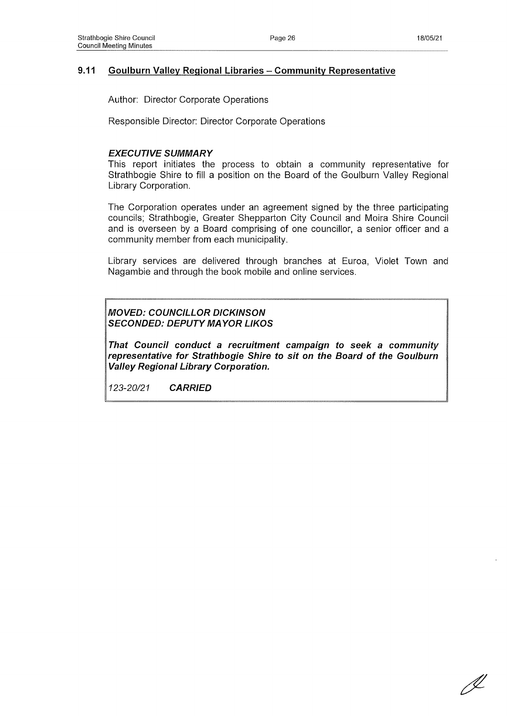## **9.11 Goulburn Valley Regional Libraries - Community Representative**

Author: Director Corporate Operations

Responsible Director: Director Corporate Operations

#### *EXECUTIVE SUMMARY*

This report initiates the process to obtain a community representative for Strathbogie Shire to fill a position on the Board of the Goulburn Valley Regional Library Corporation.

The Corporation operates under an agreement signed by the three participating councils; Strathbogie, Greater Shepparton City Council and Moira Shire Council and is overseen by a Board comprising of one councillor, a senior officer and a community member from each municipality.

Library services are delivered through branches at Euroa, Violet Town and Nagambie and through the book mobile and online services.

#### *MOVED: COUNCILLOR DICKINSON SECONDED: DEPUTY MAYOR LIKOS*

*That Council conduct a recruitment campaign to seek a community representative for Strathbogie Shire to sit on the Board of the Goulburn Valley Regional Library Corporation.*

D-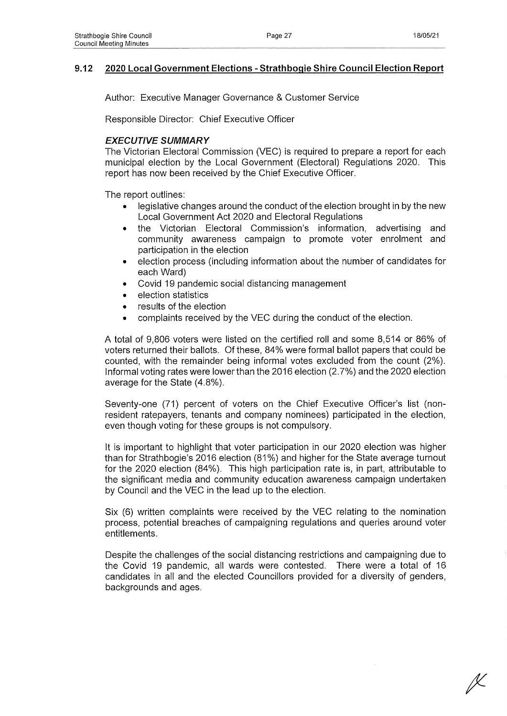## **9.12 2020 Local Government Elections - Strathbogie Shire Council Election Report**

Author: Executive Manager Governance & Customer Service

Responsible Director: Chief Executive Officer

### *EXECUTIVE SUMMARY*

The Victorian Electoral Commission (VEC) is required to prepare a report for each municipal election by the Local Government (Electoral) Regulations 2020. This report has now been received by the Chief Executive Officer.

The report outlines:

- legislative changes around the conduct of the election brought in by the new Local Government Act 2020 and Electoral Regulations
- the Victorian Electoral Commission's information, advertising and community awareness campaign to promote voter enrolment and participation in the election
- election process (including information about the number of candidates for each Ward)
- Covid 19 pandemic social distancing management
- election statistics
- results of the election
- complaints received by the VEC during the conduct of the election.

A total of 9,806 voters were listed on the certified roll and some 8,514 or 86% of voters returned their ballots. Of these, 84% were formal ballot papers that could be counted, with the remainder being informal votes excluded from the count (2%). Informal voting rates were lower than the 2016 election (2.7%) and the 2020 election average for the State (4.8%).

Seventy-one (71) percent of voters on the Chief Executive Officer's list (nonresident ratepayers, tenants and company nominees) participated in the election, even though voting for these groups is not compulsory.

It is important to highlight that voter participation in our 2020 election was higher than for Strathbogie's 2016 election (81%) and higher for the State average turnout for the 2020 election (84%). This high participation rate is, in part, attributable to the significant media and community education awareness campaign undertaken by Council and the VEC in the lead up to the election.

Six (6) written complaints were received by the VEC relating to the nomination process, potential breaches of campaigning regulations and queries around voter entitlements.

Despite the challenges of the social distancing restrictions and campaigning due to the Covid 19 pandemic, all wards were contested. There were a total of 16 candidates in all and the elected Councillors provided for a diversity of genders, backgrounds and ages.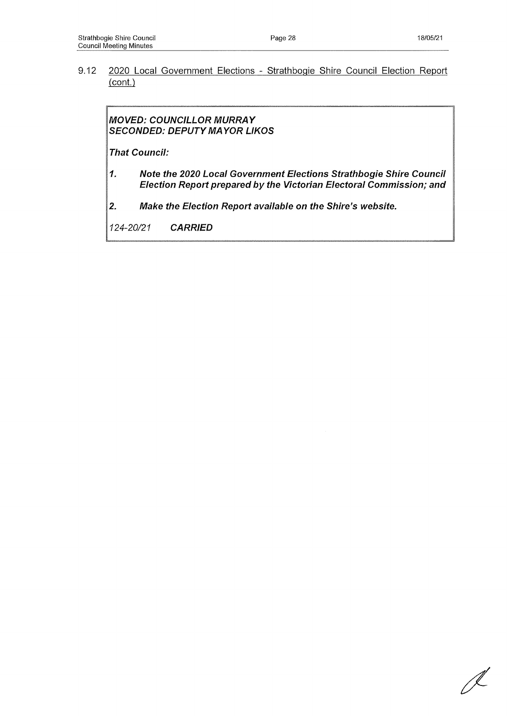9.12 2020 Local Government Elections - Strathbogie Shire Council Election Report (cont.)

*MOVED: COUNCILLOR MURRAY SECONDED: DEPUTY MAYOR LIKOS*

*That Council:*

- *1. Note the 2020 Local Government Elections Strathbogie Shire Council Election Report prepared by the Victorian Electoral Commission; and*
- *2. Make the Election Report available on the Shire's website.*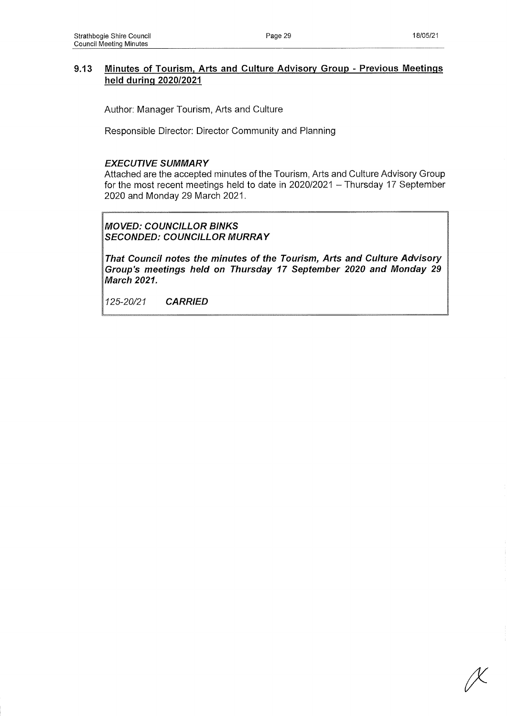## **9.13 Minutes of Tourism, Arts and Culture Advisory Group - Previous Meetings held during 2020/2021**

Author: Manager Tourism, Arts and Culture

Responsible Director: Director Community and Planning

### *EXECUTIVE SUMMARY*

Attached are the accepted minutes of the Tourism, Arts and Culture Advisory Group for the most recent meetings held to date in  $2020/2021 -$  Thursday 17 September 2020 and Monday 29 March 2021.

*MOVED: COUNCILLOR BINKS SECONDED: COUNCILLOR MURRAY*

*That Council notes the minutes of the Tourism, Arts and Culture Advisory Group's meetings held on Thursday 17 September 2020 and Monday 29 March 2021.*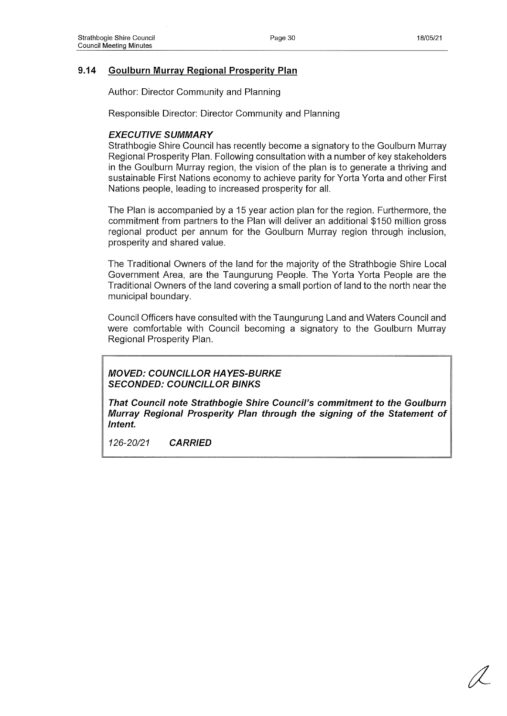## **9.14 Goulburn Murray Regional Prosperity Plan**

Author: Director Community and Planning

Responsible Director: Director Community and Planning

#### *EXECUTIVE SUMMARY*

Strathbogie Shire Council has recently become a signatory to the Goulburn Murray Regional Prosperity Plan. Following consultation with a number of key stakeholders in the Goulburn Murray region, the vision of the plan is to generate a thriving and sustainable First Nations economy to achieve parity for Yorta Yorta and other First Nations people, leading to increased prosperity for all.

The Plan is accompanied by a 15 year action plan for the region. Furthermore, the commitment from partners to the Plan will deliver an additional \$150 million gross regional product per annum for the Goulburn Murray region through inclusion, prosperity and shared value.

The Traditional Owners of the land for the majority of the Strathbogie Shire Local Government Area, are the Taungurung People. The Yorta Yorta People are the Traditional Owners of the land covering a small portion of land to the north near the municipal boundary.

Council Officers have consulted with the Taungurung Land and Waters Council and were comfortable with Council becoming a signatory to the Goulburn Murray Regional Prosperity Plan.

*MOVED: COUNCILLOR HAYES-BURKE SECONDED: COUNCILLOR BINKS*

*That Council note Strathbogie Shire Council's commitment to the Goulburn Murray Regional Prosperity Plan through the signing of the Statement of Intent.*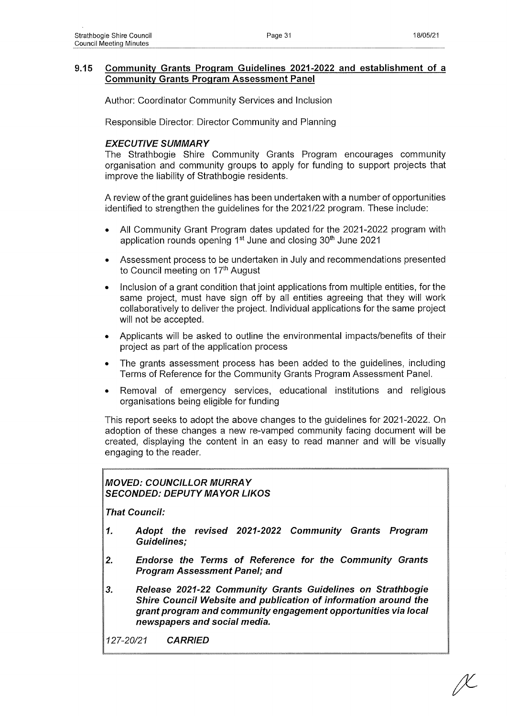Author: Coordinator Community Services and Inclusion

Responsible Director: Director Community and Planning

# *EXECUTIVE SUMMARY*

The Strathbogie Shire Community Grants Program encourages community organisation and community groups to apply for funding to support projects that improve the liability of Strathbogie residents.

A review of the grant guidelines has been undertaken with a number of opportunities identified to strengthen the guidelines for the 2021/22 program. These include:

- All Community Grant Program dates updated for the 2021-2022 program with application rounds opening 1<sup>st</sup> June and closing 30<sup>th</sup> June 2021
- Assessment process to be undertaken in July and recommendations presented to Council meeting on 17<sup>th</sup> August
- Inclusion of a grant condition that joint applications from multiple entities, for the same project, must have sign off by all entities agreeing that they will work collaboratively to deliver the project. Individual applications for the same project will not be accepted.
- Applicants will be asked to outline the environmental impacts/benefits of their project as part of the application process
- The grants assessment process has been added to the guidelines, including Terms of Reference for the Community Grants Program Assessment Panel.
- Removal of emergency services, educational institutions and religious organisations being eligible for funding

This report seeks to adopt the above changes to the guidelines for 2021-2022. On adoption of these changes a new re-vamped community facing document will be created, displaying the content in an easy to read manner and will be visually engaging to the reader.

# *MOVED: COUNCILLOR MURRAY SECONDED: DEPUTY MAYOR LIKOS*

*That Council:*

- *1. Adopt the revised 2021-2022 Community Grants Program Guidelines;*
- *2. Endorse the Terms of Reference for the Community Grants Program Assessment Panel; and*
- *3. Release 2021-22 Community Grants Guidelines on Strathbogie Shire Council Website and publication of information around the grant program and community engagement opportunities via local newspapers and social media.*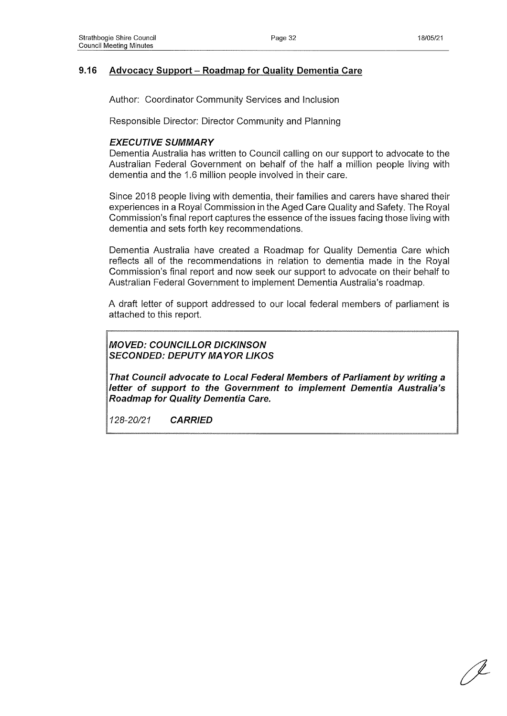## 9.16 Advocacy Support - Roadmap for Quality Dementia Care

Author: Coordinator Community Services and Inclusion

Responsible Director: Director Community and Planning

#### *EXECUTIVE SUMMARY*

Dementia Australia has written to Council calling on our support to advocate to the Australian Federal Government on behalf of the half a million people living with dementia and the 1.6 million people involved in their care.

Since 2018 people living with dementia, their families and carers have shared their experiences in a Royal Commission in the Aged Care Quality and Safety. The Royal Commission's final report captures the essence of the issues facing those living with dementia and sets forth key recommendations.

Dementia Australia have created a Roadmap for Quality Dementia Care which reflects all of the recommendations in relation to dementia made in the Royal Commission's final report and now seek our support to advocate on their behalf to Australian Federal Government to implement Dementia Australia's roadmap.

A draft letter of support addressed to our local federal members of parliament is attached to this report.

*MOVED: COUNCILLOR DICKINSON SECONDED: DEPUTY MAYOR LIKOS*

*That Council advocate to Local Federal Members of Parliament by writing a letter of support to the Government to implement Dementia Australia's Roadmap for Quality Dementia Care.*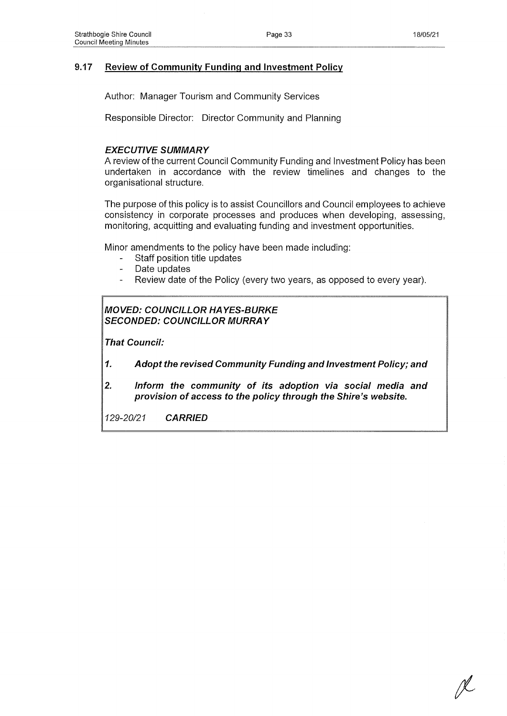## **9.17 Review of Community Funding and Investment Policy**

Author: Manager Tourism and Community Services

Responsible Director: Director Community and Planning

### *EXECUTIVE SUMMARY*

A review of the current Council Community Funding and Investment Policy has been undertaken in accordance with the review timelines and changes to the organisational structure.

The purpose of this policy is to assist Councillors and Council employees to achieve consistency in corporate processes and produces when developing, assessing, monitoring, acquitting and evaluating funding and investment opportunities.

Minor amendments to the policy have been made including:

- Staff position title updates
- Date updates
- Review date of the Policy (every two years, as opposed to every year).

## *MOVED: COUNCILLOR HAYES-BURKE SECONDED: COUNCILLOR MURRAY*

*That Council:*

- *1. Adopt the revised Community Funding and Investment Policy; and*
- *2. Inform the community of its adoption via social media and provision of access to the policy through the Shire's website.*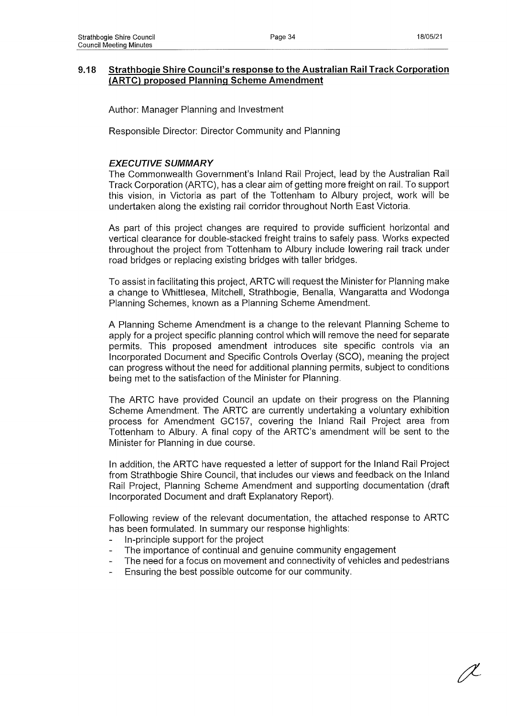### **9.18 Strathbogie Shire Council's response to the Australian Rail Track Corporation (ARTC) proposed Planning Scheme Amendment**

Author: Manager Planning and Investment

Responsible Director: Director Community and Planning

### *EXECUTIVE SUMMARY*

The Commonwealth Government's Inland Rail Project, lead by the Australian Rail Track Corporation (ARTC), has a clear aim of getting more freight on rail. To support this vision, in Victoria as part of the Tottenham to Albury project, work will be undertaken along the existing rail corridor throughout North East Victoria.

As part of this project changes are required to provide sufficient horizontal and vertical clearance for double-stacked freight trains to safely pass. Works expected throughout the project from Tottenham to Albury include lowering rail track under road bridges or replacing existing bridges with taller bridges.

To assist in facilitating this project, ARTC will request the Minister for Planning make a change to Whittlesea, Mitchell, Strathbogie, Benalla, Wangaratta and Wodonga Planning Schemes, known as a Planning Scheme Amendment.

A Planning Scheme Amendment is a change to the relevant Planning Scheme to apply for a project specific planning control which will remove the need for separate permits. This proposed amendment introduces site specific controls via an Incorporated Document and Specific Controls Overlay (SCO), meaning the project can progress without the need for additional planning permits, subject to conditions being met to the satisfaction of the Minister for Planning.

The ARTC have provided Council an update on their progress on the Planning Scheme Amendment. The ARTC are currently undertaking a voluntary exhibition process for Amendment GC157, covering the Inland Rail Project area from Tottenham to Albury. A final copy of the ARTC's amendment will be sent to the Minister for Planning in due course.

In addition, the ARTC have requested a letter of support for the Inland Rail Project from Strathbogie Shire Council, that includes our views and feedback on the Inland Rail Project, Planning Scheme Amendment and supporting documentation (draft Incorporated Document and draft Explanatory Report).

Following review of the relevant documentation, the attached response to ARTC has been formulated. In summary our response highlights:

- In-principle support for the project
- The importance of continual and genuine community engagement
- The need for a focus on movement and connectivity of vehicles and pedestrians
- Ensuring the best possible outcome for our community.

JL.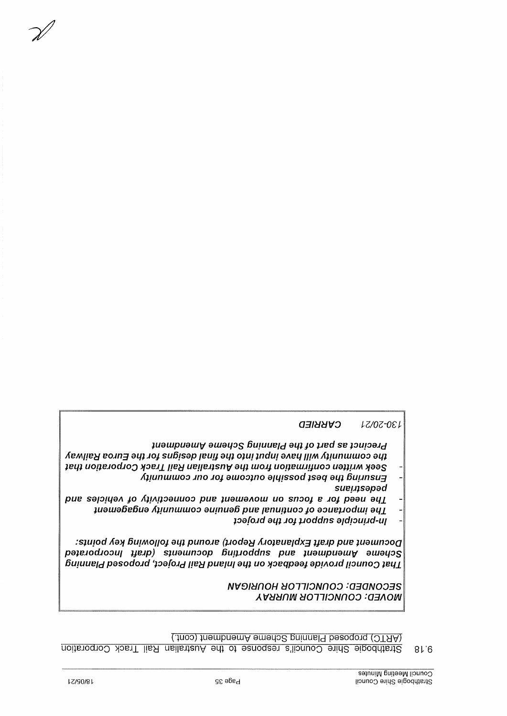(.jnoo) juembnemA emerio2 gninnal9 bezogojd ( OTAA)

<u>uoije Shire Council's response to the Australian Rail Track Corporation</u>  $81.6$ 

**MOVED: COUNCILLOR MURRAY** 

*sueu;sapad*

*Q3IÌJÌJV0 IZ/0Z-0£Í*

*NVOlUnOH iJOlllONílOD '-Q3QN0D3S*

*joafojd aq; j o j jjoddns a/diouud-ui -*

*j u a u j p u a u t \ i a u ia q o s B u iu u e /d a q ;* /o *p e d s e ;o u io a J c j*

*A q u n u iiu o o j n o j o j . a u io o jn o a /q is s o d j s a q a q ; B u u n s u g -*

*A e M n e y e o j n* g *a q ; j o j s u B is a p ¡ e u ij a q ; o ; u i ; n d u i a A e q / / i m Á q u n iu u to o a q ; ; e q ; u o p e jo d J O Q ) ¡ o e j± ¡ l e y u e n e j ; s n \ / a q ; u io j j u o p e u iJ iju o o u a ; ; u M q a a s -*

*pue sapiqaA jo A;¡Ai;oauuoo pue juauidAOUi uo snooj e j o j paau aq± -*

*;uauiaBeBua Aqunuiuioo aumuaB pue ¡enupuoo jo aouepoduj; aq± -*

*:s;uiod Aay Bumoqoj aq; punoje (poday Ajo;eue¡dx*3 *jjejp pue juauinooQ pajejodjooui jjejp) sjuautnoop Bmpoddns pue ;uaujpuaui\f auiaqos Bumueid pasodojd 'joafojd* **//e¿/** *pue/u***/** *aqj uo ijoeqpaaj apfAOjd /punoQ ;eq±*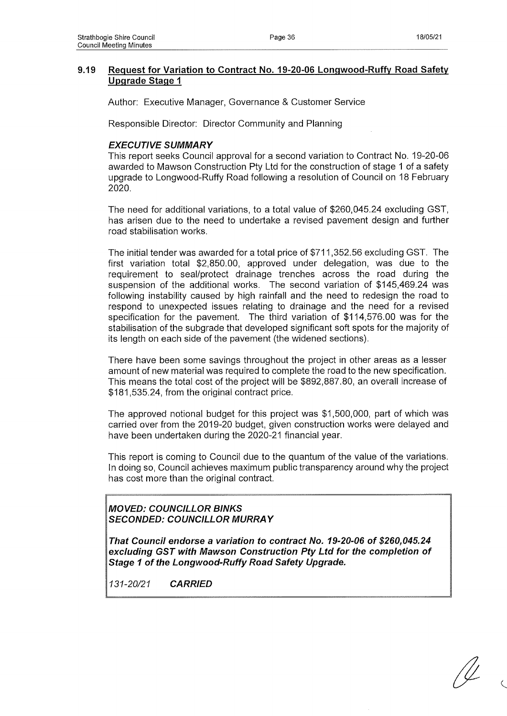## **9.19 Request for Variation to Contract No. 19-20-06 Longwood-Ruffy Road Safety Upgrade Stage 1**

Author: Executive Manager, Governance & Customer Service

Responsible Director: Director Community and Planning

### *EXECUTIVE SUMMARY*

This report seeks Council approval for a second variation to Contract No. 19-20-06 awarded to Mawson Construction Pty Ltd for the construction of stage 1 of a safety upgrade to Longwood-Ruffy Road following a resolution of Council on 18 February 2020.

The need for additional variations, to a total value of \$260,045.24 excluding GST, has arisen due to the need to undertake a revised pavement design and further road stabilisation works.

The initial tender was awarded for a total price of \$711,352.56 excluding GST. The first variation total \$2,850.00, approved under delegation, was due to the requirement to seal/protect drainage trenches across the road during the suspension of the additional works. The second variation of \$145,469.24 was following instability caused by high rainfall and the need to redesign the road to respond to unexpected issues relating to drainage and the need for a revised specification for the pavement. The third variation of \$114,576.00 was for the stabilisation of the subgrade that developed significant soft spots for the majority of its length on each side of the pavement (the widened sections).

There have been some savings throughout the project in other areas as a lesser amount of new material was required to complete the road to the new specification. This means the total cost of the project will be \$892,887.80, an overall increase of \$181,535.24, from the original contract price.

The approved notional budget for this project was \$1,500,000, part of which was carried over from the 2019-20 budget, given construction works were delayed and have been undertaken during the 2020-21 financial year.

This report is coming to Council due to the quantum of the value of the variations. In doing so, Council achieves maximum public transparency around why the project has cost more than the original contract.

*MOVED: COUNCILLOR BINKS SECONDED: COUNCILLOR MURRAY*

*That Council endorse a variation to contract No. 19-20-06 of \$260,045.24 excluding GST with Mawson Construction Pty Ltd for the completion of Stage 1 of the Longwood-Ruffy Road Safety Upgrade.*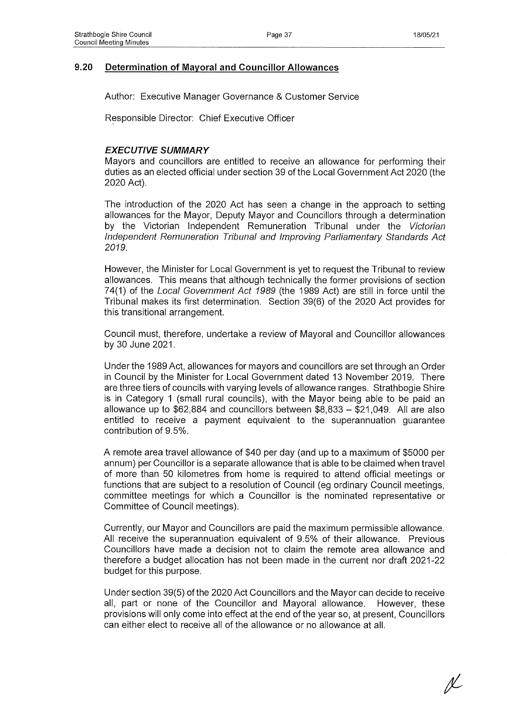## **9.20 Determination of Mayoral and Councillor Allowances**

Author: Executive Manager Governance & Customer Service

Responsible Director: Chief Executive Officer

### *EXECUTIVE SUMMARY*

Mayors and councillors are entitled to receive an allowance for performing their duties as an elected official under section 39 of the Local Government Act 2020 (the 2020 Act).

The introduction of the 2020 Act has seen a change in the approach to setting allowances for the Mayor, Deputy Mayor and Councillors through a determination by the Victorian Independent Remuneration Tribunal under the *Victorian Independent Remuneration Tribunal and Improving Parliamentary Standards Act 2019.*

However, the Minister for Local Government is yet to request the Tribunal to review allowances. This means that although technically the former provisions of section 74(1) of the *Local Government Act 1989* (the 1989 Act) are still in force until the Tribunal makes its first determination. Section 39(6) of the 2020 Act provides for this transitional arrangement.

Council must, therefore, undertake a review of Mayoral and Councillor allowances by 30 June 2021.

Under the 1989 Act, allowances for mayors and councillors are set through an Order in Council by the Minister for Local Government dated 13 November 2019. There are three tiers of councils with varying levels of allowance ranges. Strathbogie Shire is in Category 1 (small rural councils), with the Mayor being able to be paid an allowance up to \$62,884 and councillors between \$8,833 - \$21,049. All are also entitled to receive a payment equivalent to the superannuation guarantee contribution of 9.5%.

A remote area travel allowance of \$40 per day (and up to a maximum of \$5000 per annum) per Councillor is a separate allowance that is able to be claimed when travel of more than 50 kilometres from home is required to attend official meetings or functions that are subject to a resolution of Council (eg ordinary Council meetings, committee meetings for which a Councillor is the nominated representative or Committee of Council meetings).

Currently, our Mayor and Councillors are paid the maximum permissible allowance. All receive the superannuation equivalent of 9.5% of their allowance. Previous Councillors have made a decision not to claim the remote area allowance and therefore a budget allocation has not been made in the current nor draft 2021-22 budget for this purpose.

Under section 39(5) of the 2020 Act Councillors and the Mayor can decide to receive all, part or none of the Councillor and Mayoral allowance. However, these provisions will only come into effect at the end of the year so, at present, Councillors can either elect to receive all of the allowance or no allowance at all.

N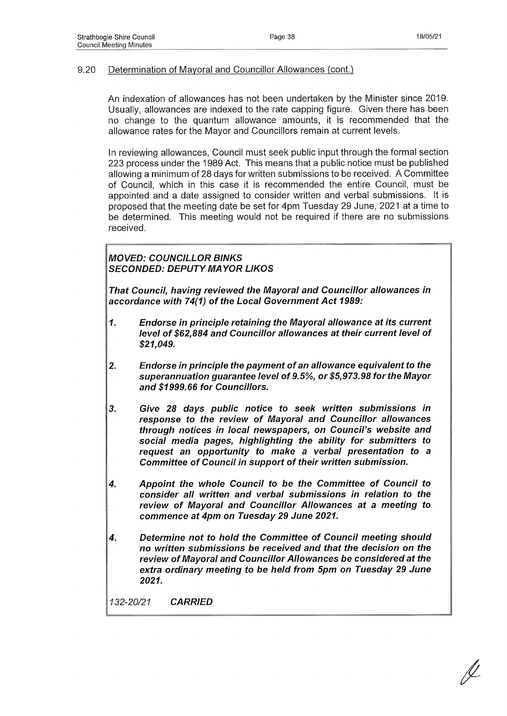## 9-20 Determination of Mayoral and Councillor Allowances (cont.)

An indexation of allowances has not been undertaken by the Minister since 2019. Usually, allowances are indexed to the rate capping figure. Given there has been no change to the quantum allowance amounts, it is recommended that the allowance rates for the Mayor and Councillors remain at current levels.

In reviewing allowances, Council must seek public input through the formal section 223 process under the 1989 Act. This means that a public notice must be published allowing a minimum of 28 days for written submissions to be received. A Committee of Council, which in this case it is recommended the entire Council, must be appointed and a date assigned to consider written and verbal submissions. It is proposed that the meeting date be set for 4pm Tuesday 29 June, 2021 at a time to be determined. This meeting would not be required if there are no submissions received.

*MOVED: COUNCILLOR BINKS SECONDED: DEPUTY MAYOR LIKOS*

*That Council, having reviewed the Mayoral and Councillor allowances in accordance with 74(1) of the Local Government Act 1989:*

- *1. Endorse in principle retaining the Mayoral allowance at its current level of \$62,884 and Councillor allowances at their current level of \$21,049.*
- *2. Endorse in principle the payment of an allowance equivalent to the superannuation guarantee level of 9.5%, or \$5,973.98 for the Mayor and \$1999.66 for Councillors.*
- *3. Give 28 days public notice to seek written submissions in response to the review of Mayoral and Councillor allowances through notices in local newspapers, on Council's website and social media pages, highlighting the ability for submitters to request an opportunity to make a verbal presentation to a Committee of Council in support of their written submission.*
- *4. Appoint the whole Council to be the Committee of Council to consider all written and verbal submissions in relation to the review of Mayoral and Councillor Allowances at a meeting to commence at 4pm on Tuesday 29 June 2021.*
- *4. Determine not to hold the Committee of Council meeting should no written submissions be received and that the decision on the review of Mayoral and Councillor Allowances be considered at the extra ordinary meeting to be held from 5pm on Tuesday 29 June 2021.*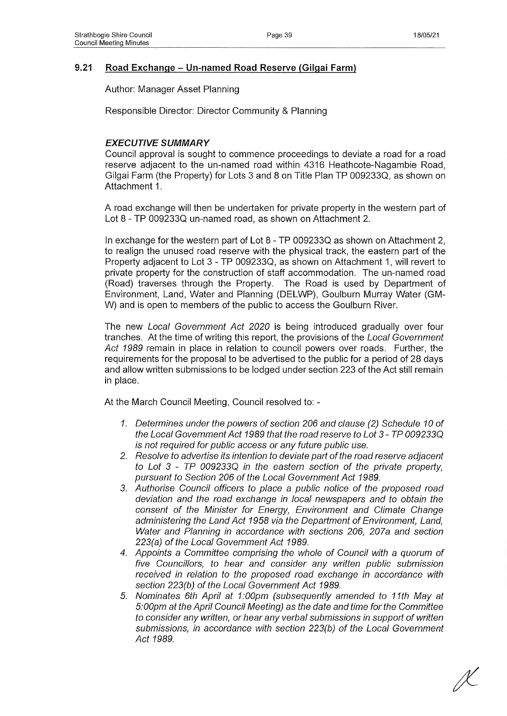## **9.21 Road Exchange - Un-named Road Reserve (Gilgai Farm)**

Author: Manager Asset Planning

Responsible Director: Director Community & Planning

## *EXECUTIVE SUMMARY*

Council approval is sought to commence proceedings to deviate a road for a road reserve adjacent to the un-named road within 4316 Heathcote-Nagambie Road, Gilgai Farm (the Property) for Lots 3 and 8 on Title Plan TP 009233Q, as shown on Attachment 1.

A road exchange will then be undertaken for private property in the western part of Lot 8 - TP 009233Q un-named road, as shown on Attachment 2.

In exchange for the western part of Lot 8 - TP 009233Q as shown on Attachment 2, to realign the unused road reserve with the physical track, the eastern part of the Property adjacent to Lot 3 - TP 009233Q, as shown on Attachment 1, will revert to private property for the construction of staff accommodation. The un-named road (Road) traverses through the Property. The Road is used by Department of Environment, Land, Water and Planning (DELWP), Goulburn Murray Water (GM-W) and is open to members of the public to access the Goulburn River.

The new *Local Government Act 2020* is being introduced gradually over four tranches. At the time of writing this report, the provisions of the *Local Government Act 1989* remain in place in relation to council powers over roads. Further, the requirements for the proposal to be advertised to the public for a period of 28 days and allow written submissions to be lodged under section 223 of the Act still remain in place.

At the March Council Meeting, Council resolved to: -

- *1. Determines under the powers of section 206 and clause (2) Schedule 10 of the Local Government Act 1989 that the road reserve to Lot 3-TP 009233Q is not required for public access or any future public use.*
- *2. Resolve to advertise its intention to deviate part of the road reserve adjacent to Lot 3 - TP 009233Q in the eastern section of the private property, pursuant to Section 206 of the Local Government Act 1989.*
- *3. Authorise Council officers to place a public notice of the proposed road deviation and the road exchange in local newspapers and to obtain the consent of the Minister for Energy, Environment and Climate Change administering the Land Act 1958 via the Department of Environment, Land, Water and Planning in accordance with sections 206, 207a and section 223(a) of the Local Government Act 1989.*
- *4. Appoints a Committee comprising the whole of Council with a quorum of five Councillors, to hear and consider any written public submission received in relation to the proposed road exchange in accordance with section 223(b) of the Local Government Act 1989.*
- *5. Nominates 6th April at 1:00pm (subsequently amended to 11th May at 5:00pm at the April Council Meeting) as the date and time for the Committee to consider any written, or hear any verbal submissions in support of written submissions, in accordance with section 223(b) of the Local Government Act 1989.*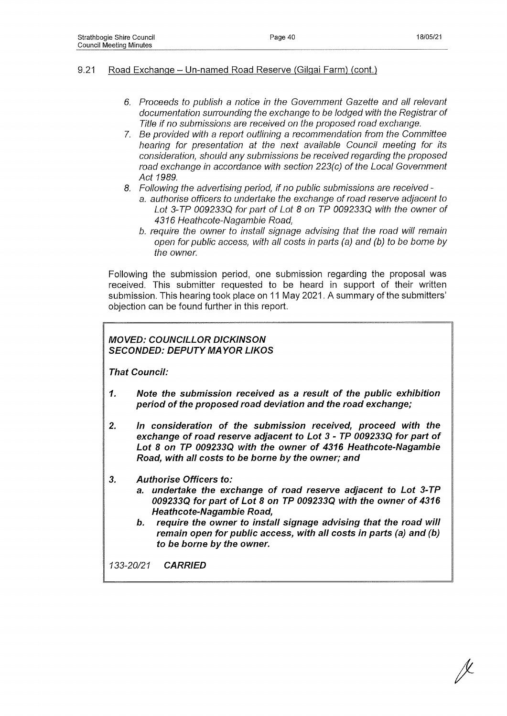## 9.21 Road Exchange - Un-named Road Reserve (Gilgai Farm) (cont.)

- *6. Proceeds to publish a notice in the Government Gazette and all relevant documentation surrounding the exchange to be lodged with the Registrar of Title if no submissions are received on the proposed road exchange.*
- *7. Be provided with a report outlining a recommendation from the Committee hearing for presentation at the next available Council meeting for its consideration, should any submissions be received regarding the proposed road exchange in accordance with section 223(c) of the Local Government Act 1989.*
- *8. Following the advertising period, if no public submissions are received*
	- a. *authorise officers to undertake the exchange of road reserve adjacent to Lot 3-TP 009233Q for part of Lot 8 on TP 009233Q with the owner of 4316 Heathcote-Nagambie Road,*
	- *b. require the owner to install signage advising that the road will remain open for public access, with all costs in parts (a) and (b) to be borne by the owner.*

Following the submission period, one submission regarding the proposal was received. This submitter requested to be heard in support of their written submission. This hearing took place on 11 May 2021. A summary of the submitters' objection can be found further in this report.

## *MOVED: COUNCILLOR DICKINSON SECONDED: DEPUTY MAYOR LIKOS*

*That Council:*

- *1. Note the submission received as a result of the public exhibition period of the proposed road deviation and the road exchange;*
- *2. In consideration of the submission received, proceed with the exchange of road reserve adjacent to Lot 3-TP 009233Q for part of Lot 8 on TP 009233Q with the owner of 4316 Heathcote-Nagambie Road, with all costs to be borne by the owner; and*
- *3. Authorise Officers to:*
	- *a. undertake the exchange of road reserve adjacent to Lot 3-TP 009233Q for part of Lot 8 on TP 009233Q with the owner of 4316 Heathcote-Nagambie Road,*
	- *b. require the owner to install signage advising that the road will remain open for public access, with all costs in parts (a) and (b) to be borne by the owner.*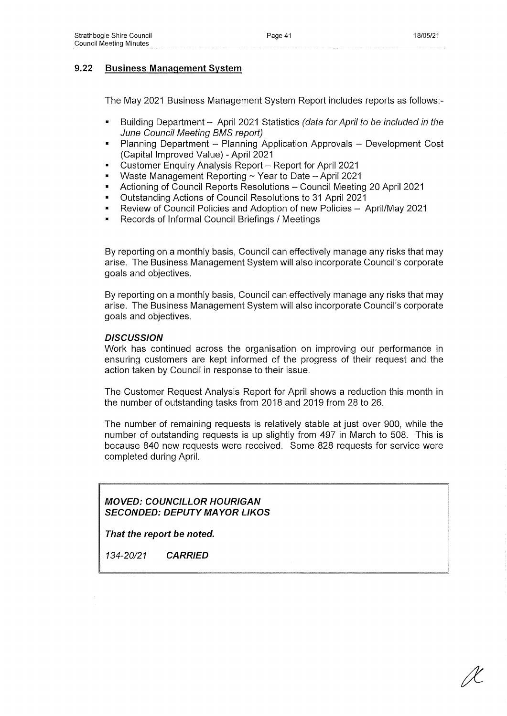## **9.22 Business Management System**

The May 2021 Business Management System Report includes reports as follows:-

- Building Department April 2021 Statistics *(data for April to be included in the June Council Meeting BMS report)*
- Planning Department Planning Application Approvals Development Cost (Capital Improved Value) - April 2021
- Customer Enquiry Analysis Report Report for April 2021
- Waste Management Reporting ~ Year to Date April 2021
- Actioning of Council Reports Resolutions Council Meeting 20 April 2021
- Outstanding Actions of Council Resolutions to 31 April 2021
- Review of Council Policies and Adoption of new Policies April/May 2021
- Records of Informal Council Briefings / Meetings

By reporting on a monthly basis, Council can effectively manage any risks that may arise. The Business Management System will also incorporate Council's corporate goals and objectives.

By reporting on a monthly basis, Council can effectively manage any risks that may arise. The Business Management System will also incorporate Council's corporate goals and objectives.

### *DISCUSSION*

Work has continued across the organisation on improving our performance in ensuring customers are kept informed of the progress of their request and the action taken by Council in response to their issue.

The Customer Request Analysis Report for April shows a reduction this month in the number of outstanding tasks from 2018 and 2019 from 28 to 26.

The number of remaining requests is relatively stable at just over 900, while the number of outstanding requests is up slightly from 497 in March to 508. This is because 840 new requests were received. Some 828 requests for service were completed during April.

*MOVED: COUNCILLOR HOURIGAN SECONDED: DEPUTY MAYOR LIKOS*

*That the report be noted.*